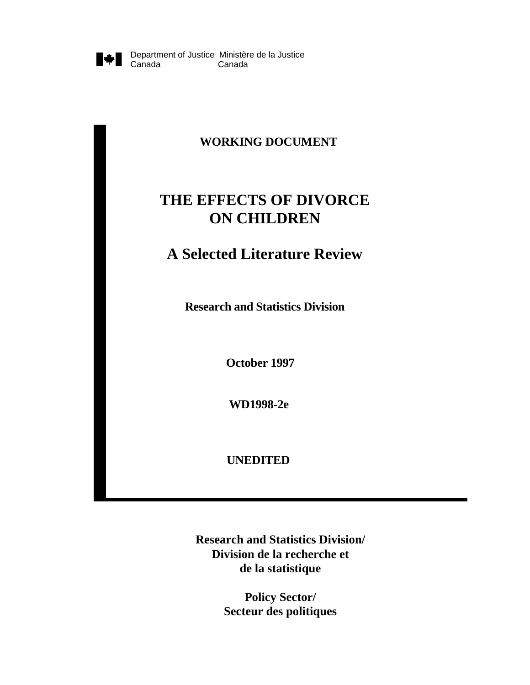

# **WORKING DOCUMENT**

# **THE EFFECTS OF DIVORCE ON CHILDREN**

# **A Selected Literature Review**

**Research and Statistics Division**

**October 1997**

**WD1998-2e**

# **UNEDITED**

**Research and Statistics Division/ Division de la recherche et de la statistique**

> **Policy Sector/ Secteur des politiques**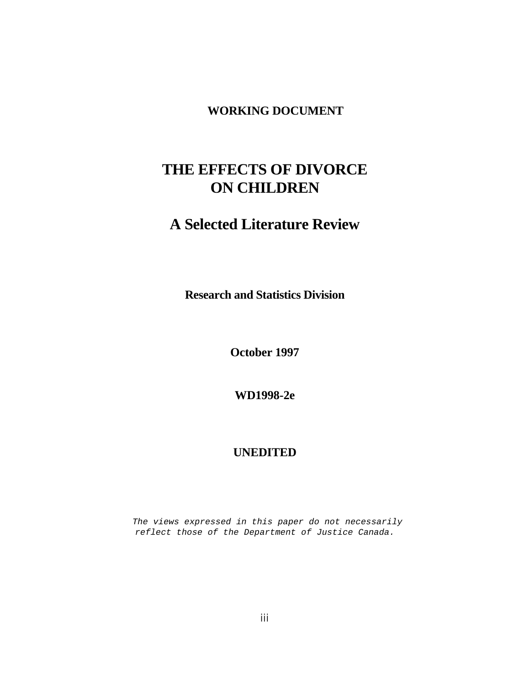# **WORKING DOCUMENT**

# **THE EFFECTS OF DIVORCE ON CHILDREN**

# **A Selected Literature Review**

**Research and Statistics Division**

**October 1997**

**WD1998-2e**

# **UNEDITED**

 The views expressed in this paper do not necessarily reflect those of the Department of Justice Canada.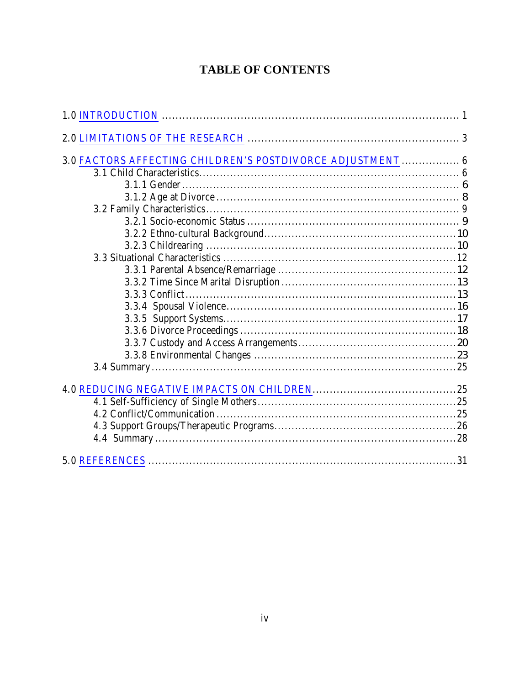# **TABLE OF CONTENTS**

| 3.0 FACTORS AFFECTING CHILDREN'S POSTDIVORCE ADJUSTMENT  6 |  |
|------------------------------------------------------------|--|
|                                                            |  |
|                                                            |  |
|                                                            |  |
|                                                            |  |
|                                                            |  |
|                                                            |  |
|                                                            |  |
|                                                            |  |
|                                                            |  |
|                                                            |  |
|                                                            |  |
|                                                            |  |
|                                                            |  |
|                                                            |  |
|                                                            |  |
|                                                            |  |
|                                                            |  |
|                                                            |  |
|                                                            |  |
|                                                            |  |
|                                                            |  |
|                                                            |  |
|                                                            |  |
|                                                            |  |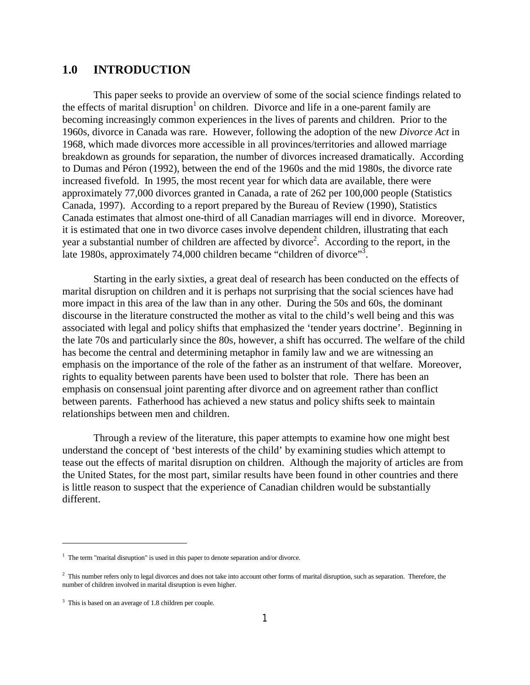# <span id="page-3-0"></span>**1.0 INTRODUCTION**

This paper seeks to provide an overview of some of the social science findings related to the effects of marital disruption<sup>1</sup> on children. Divorce and life in a one-parent family are becoming increasingly common experiences in the lives of parents and children. Prior to the 1960s, divorce in Canada was rare. However, following the adoption of the new *Divorce Act* in 1968, which made divorces more accessible in all provinces/territories and allowed marriage breakdown as grounds for separation, the number of divorces increased dramatically. According to Dumas and Péron (1992), between the end of the 1960s and the mid 1980s, the divorce rate increased fivefold. In 1995, the most recent year for which data are available, there were approximately 77,000 divorces granted in Canada, a rate of 262 per 100,000 people (Statistics Canada, 1997). According to a report prepared by the Bureau of Review (1990), Statistics Canada estimates that almost one-third of all Canadian marriages will end in divorce. Moreover, it is estimated that one in two divorce cases involve dependent children, illustrating that each year a substantial number of children are affected by divorce<sup>2</sup>. According to the report, in the late 1980s, approximately 74,000 children became "children of divorce"<sup>3</sup>.

Starting in the early sixties, a great deal of research has been conducted on the effects of marital disruption on children and it is perhaps not surprising that the social sciences have had more impact in this area of the law than in any other. During the 50s and 60s, the dominant discourse in the literature constructed the mother as vital to the child's well being and this was associated with legal and policy shifts that emphasized the 'tender years doctrine'. Beginning in the late 70s and particularly since the 80s, however, a shift has occurred. The welfare of the child has become the central and determining metaphor in family law and we are witnessing an emphasis on the importance of the role of the father as an instrument of that welfare. Moreover, rights to equality between parents have been used to bolster that role. There has been an emphasis on consensual joint parenting after divorce and on agreement rather than conflict between parents. Fatherhood has achieved a new status and policy shifts seek to maintain relationships between men and children.

Through a review of the literature, this paper attempts to examine how one might best understand the concept of 'best interests of the child' by examining studies which attempt to tease out the effects of marital disruption on children. Although the majority of articles are from the United States, for the most part, similar results have been found in other countries and there is little reason to suspect that the experience of Canadian children would be substantially different.

 $\overline{a}$ 

 $<sup>1</sup>$  The term "marital disruption" is used in this paper to denote separation and/or divorce.</sup>

 $<sup>2</sup>$  This number refers only to legal divorces and does not take into account other forms of marital disruption, such as separation. Therefore, the</sup> number of children involved in marital disruption is even higher.

<sup>&</sup>lt;sup>3</sup> This is based on an average of 1.8 children per couple.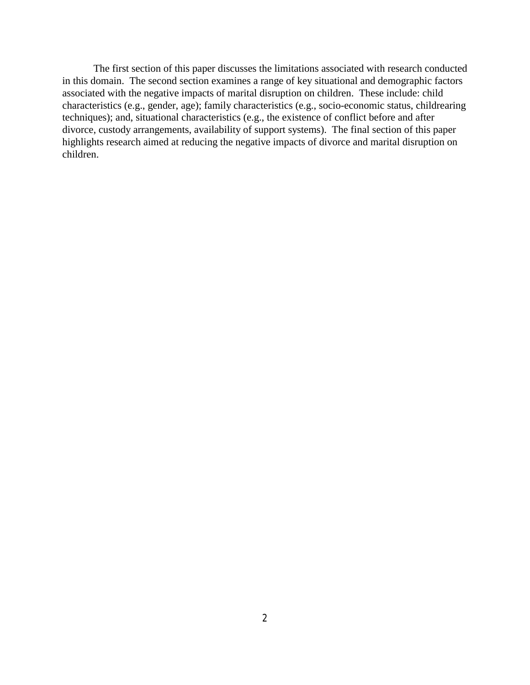The first section of this paper discusses the limitations associated with research conducted in this domain. The second section examines a range of key situational and demographic factors associated with the negative impacts of marital disruption on children. These include: child characteristics (e.g., gender, age); family characteristics (e.g., socio-economic status, childrearing techniques); and, situational characteristics (e.g., the existence of conflict before and after divorce, custody arrangements, availability of support systems). The final section of this paper highlights research aimed at reducing the negative impacts of divorce and marital disruption on children.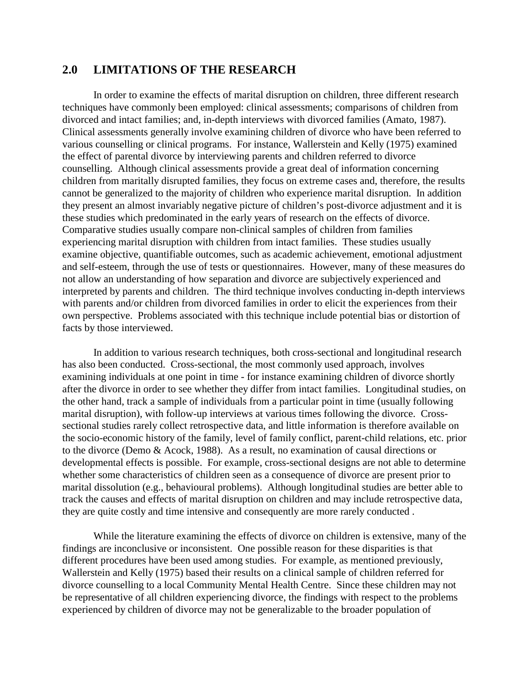# <span id="page-5-0"></span>**2.0 LIMITATIONS OF THE RESEARCH**

In order to examine the effects of marital disruption on children, three different research techniques have commonly been employed: clinical assessments; comparisons of children from divorced and intact families; and, in-depth interviews with divorced families (Amato, 1987). Clinical assessments generally involve examining children of divorce who have been referred to various counselling or clinical programs. For instance, Wallerstein and Kelly (1975) examined the effect of parental divorce by interviewing parents and children referred to divorce counselling. Although clinical assessments provide a great deal of information concerning children from maritally disrupted families, they focus on extreme cases and, therefore, the results cannot be generalized to the majority of children who experience marital disruption. In addition they present an almost invariably negative picture of children's post-divorce adjustment and it is these studies which predominated in the early years of research on the effects of divorce. Comparative studies usually compare non-clinical samples of children from families experiencing marital disruption with children from intact families. These studies usually examine objective, quantifiable outcomes, such as academic achievement, emotional adjustment and self-esteem, through the use of tests or questionnaires. However, many of these measures do not allow an understanding of how separation and divorce are subjectively experienced and interpreted by parents and children. The third technique involves conducting in-depth interviews with parents and/or children from divorced families in order to elicit the experiences from their own perspective. Problems associated with this technique include potential bias or distortion of facts by those interviewed.

In addition to various research techniques, both cross-sectional and longitudinal research has also been conducted. Cross-sectional, the most commonly used approach, involves examining individuals at one point in time - for instance examining children of divorce shortly after the divorce in order to see whether they differ from intact families. Longitudinal studies, on the other hand, track a sample of individuals from a particular point in time (usually following marital disruption), with follow-up interviews at various times following the divorce. Crosssectional studies rarely collect retrospective data, and little information is therefore available on the socio-economic history of the family, level of family conflict, parent-child relations, etc. prior to the divorce (Demo & Acock, 1988). As a result, no examination of causal directions or developmental effects is possible. For example, cross-sectional designs are not able to determine whether some characteristics of children seen as a consequence of divorce are present prior to marital dissolution (e.g., behavioural problems). Although longitudinal studies are better able to track the causes and effects of marital disruption on children and may include retrospective data, they are quite costly and time intensive and consequently are more rarely conducted .

While the literature examining the effects of divorce on children is extensive, many of the findings are inconclusive or inconsistent. One possible reason for these disparities is that different procedures have been used among studies. For example, as mentioned previously, Wallerstein and Kelly (1975) based their results on a clinical sample of children referred for divorce counselling to a local Community Mental Health Centre. Since these children may not be representative of all children experiencing divorce, the findings with respect to the problems experienced by children of divorce may not be generalizable to the broader population of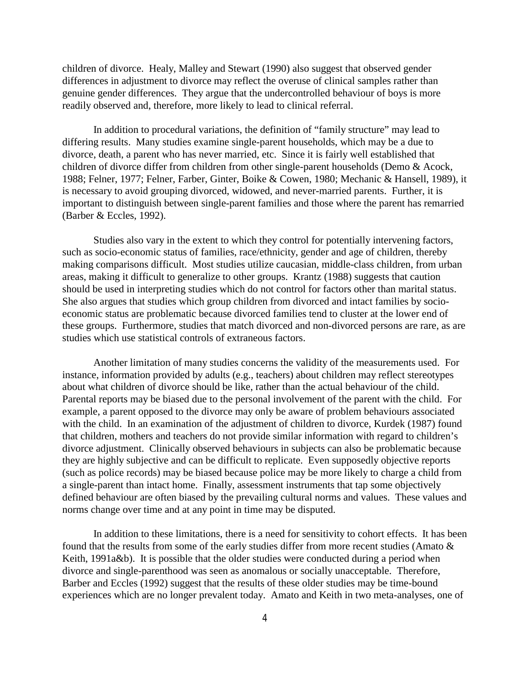children of divorce. Healy, Malley and Stewart (1990) also suggest that observed gender differences in adjustment to divorce may reflect the overuse of clinical samples rather than genuine gender differences. They argue that the undercontrolled behaviour of boys is more readily observed and, therefore, more likely to lead to clinical referral.

In addition to procedural variations, the definition of "family structure" may lead to differing results. Many studies examine single-parent households, which may be a due to divorce, death, a parent who has never married, etc. Since it is fairly well established that children of divorce differ from children from other single-parent households (Demo & Acock, 1988; Felner, 1977; Felner, Farber, Ginter, Boike & Cowen, 1980; Mechanic & Hansell, 1989), it is necessary to avoid grouping divorced, widowed, and never-married parents. Further, it is important to distinguish between single-parent families and those where the parent has remarried (Barber & Eccles, 1992).

Studies also vary in the extent to which they control for potentially intervening factors, such as socio-economic status of families, race/ethnicity, gender and age of children, thereby making comparisons difficult. Most studies utilize caucasian, middle-class children, from urban areas, making it difficult to generalize to other groups. Krantz (1988) suggests that caution should be used in interpreting studies which do not control for factors other than marital status. She also argues that studies which group children from divorced and intact families by socioeconomic status are problematic because divorced families tend to cluster at the lower end of these groups. Furthermore, studies that match divorced and non-divorced persons are rare, as are studies which use statistical controls of extraneous factors.

Another limitation of many studies concerns the validity of the measurements used. For instance, information provided by adults (e.g., teachers) about children may reflect stereotypes about what children of divorce should be like, rather than the actual behaviour of the child. Parental reports may be biased due to the personal involvement of the parent with the child. For example, a parent opposed to the divorce may only be aware of problem behaviours associated with the child. In an examination of the adjustment of children to divorce, Kurdek (1987) found that children, mothers and teachers do not provide similar information with regard to children's divorce adjustment. Clinically observed behaviours in subjects can also be problematic because they are highly subjective and can be difficult to replicate. Even supposedly objective reports (such as police records) may be biased because police may be more likely to charge a child from a single-parent than intact home. Finally, assessment instruments that tap some objectively defined behaviour are often biased by the prevailing cultural norms and values. These values and norms change over time and at any point in time may be disputed.

In addition to these limitations, there is a need for sensitivity to cohort effects. It has been found that the results from some of the early studies differ from more recent studies (Amato & Keith, 1991a&b). It is possible that the older studies were conducted during a period when divorce and single-parenthood was seen as anomalous or socially unacceptable. Therefore, Barber and Eccles (1992) suggest that the results of these older studies may be time-bound experiences which are no longer prevalent today. Amato and Keith in two meta-analyses, one of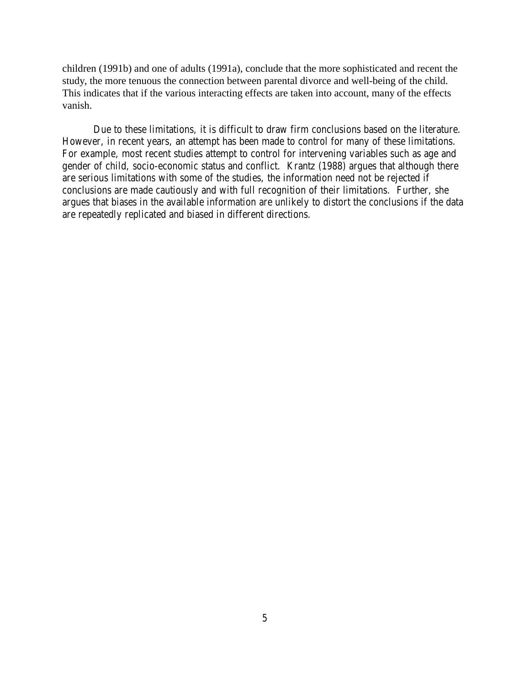children (1991b) and one of adults (1991a), conclude that the more sophisticated and recent the study, the more tenuous the connection between parental divorce and well-being of the child. This indicates that if the various interacting effects are taken into account, many of the effects vanish.

Due to these limitations, it is difficult to draw firm conclusions based on the literature. However, in recent years, an attempt has been made to control for many of these limitations. For example, most recent studies attempt to control for intervening variables such as age and gender of child, socio-economic status and conflict. Krantz (1988) argues that although there are serious limitations with some of the studies, the information need not be rejected if conclusions are made cautiously and with full recognition of their limitations. Further, she argues that biases in the available information are unlikely to distort the conclusions if the data are repeatedly replicated and biased in different directions.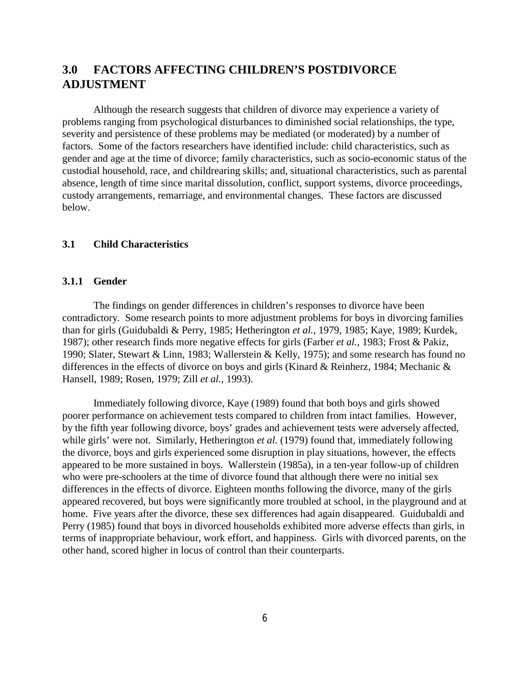# <span id="page-8-0"></span>**3.0 FACTORS AFFECTING CHILDREN'S POSTDIVORCE ADJUSTMENT**

Although the research suggests that children of divorce may experience a variety of problems ranging from psychological disturbances to diminished social relationships, the type, severity and persistence of these problems may be mediated (or moderated) by a number of factors. Some of the factors researchers have identified include: child characteristics, such as gender and age at the time of divorce; family characteristics, such as socio-economic status of the custodial household, race, and childrearing skills; and, situational characteristics, such as parental absence, length of time since marital dissolution, conflict, support systems, divorce proceedings, custody arrangements, remarriage, and environmental changes. These factors are discussed below.

## **3.1 Child Characteristics**

### **3.1.1 Gender**

The findings on gender differences in children's responses to divorce have been contradictory. Some research points to more adjustment problems for boys in divorcing families than for girls (Guidubaldi & Perry, 1985; Hetherington *et al.*, 1979, 1985; Kaye, 1989; Kurdek, 1987); other research finds more negative effects for girls (Farber *et al.*, 1983; Frost & Pakiz, 1990; Slater, Stewart & Linn, 1983; Wallerstein & Kelly, 1975); and some research has found no differences in the effects of divorce on boys and girls (Kinard & Reinherz, 1984; Mechanic & Hansell, 1989; Rosen, 1979; Zill *et al.*, 1993).

Immediately following divorce, Kaye (1989) found that both boys and girls showed poorer performance on achievement tests compared to children from intact families. However, by the fifth year following divorce, boys' grades and achievement tests were adversely affected, while girls' were not. Similarly, Hetherington *et al.* (1979) found that, immediately following the divorce, boys and girls experienced some disruption in play situations, however, the effects appeared to be more sustained in boys. Wallerstein (1985a), in a ten-year follow-up of children who were pre-schoolers at the time of divorce found that although there were no initial sex differences in the effects of divorce. Eighteen months following the divorce, many of the girls appeared recovered, but boys were significantly more troubled at school, in the playground and at home. Five years after the divorce, these sex differences had again disappeared. Guidubaldi and Perry (1985) found that boys in divorced households exhibited more adverse effects than girls, in terms of inappropriate behaviour, work effort, and happiness. Girls with divorced parents, on the other hand, scored higher in locus of control than their counterparts.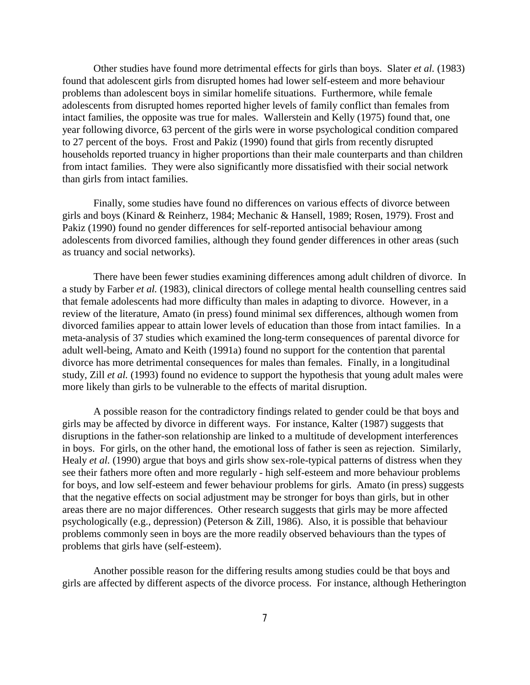Other studies have found more detrimental effects for girls than boys. Slater *et al.* (1983) found that adolescent girls from disrupted homes had lower self-esteem and more behaviour problems than adolescent boys in similar homelife situations. Furthermore, while female adolescents from disrupted homes reported higher levels of family conflict than females from intact families, the opposite was true for males. Wallerstein and Kelly (1975) found that, one year following divorce, 63 percent of the girls were in worse psychological condition compared to 27 percent of the boys. Frost and Pakiz (1990) found that girls from recently disrupted households reported truancy in higher proportions than their male counterparts and than children from intact families. They were also significantly more dissatisfied with their social network than girls from intact families.

Finally, some studies have found no differences on various effects of divorce between girls and boys (Kinard & Reinherz, 1984; Mechanic & Hansell, 1989; Rosen, 1979). Frost and Pakiz (1990) found no gender differences for self-reported antisocial behaviour among adolescents from divorced families, although they found gender differences in other areas (such as truancy and social networks).

There have been fewer studies examining differences among adult children of divorce. In a study by Farber *et al.* (1983), clinical directors of college mental health counselling centres said that female adolescents had more difficulty than males in adapting to divorce. However, in a review of the literature, Amato (in press) found minimal sex differences, although women from divorced families appear to attain lower levels of education than those from intact families. In a meta-analysis of 37 studies which examined the long-term consequences of parental divorce for adult well-being, Amato and Keith (1991a) found no support for the contention that parental divorce has more detrimental consequences for males than females. Finally, in a longitudinal study, Zill *et al.* (1993) found no evidence to support the hypothesis that young adult males were more likely than girls to be vulnerable to the effects of marital disruption.

A possible reason for the contradictory findings related to gender could be that boys and girls may be affected by divorce in different ways. For instance, Kalter (1987) suggests that disruptions in the father-son relationship are linked to a multitude of development interferences in boys. For girls, on the other hand, the emotional loss of father is seen as rejection. Similarly, Healy *et al.* (1990) argue that boys and girls show sex-role-typical patterns of distress when they see their fathers more often and more regularly - high self-esteem and more behaviour problems for boys, and low self-esteem and fewer behaviour problems for girls. Amato (in press) suggests that the negative effects on social adjustment may be stronger for boys than girls, but in other areas there are no major differences. Other research suggests that girls may be more affected psychologically (e.g., depression) (Peterson & Zill, 1986). Also, it is possible that behaviour problems commonly seen in boys are the more readily observed behaviours than the types of problems that girls have (self-esteem).

Another possible reason for the differing results among studies could be that boys and girls are affected by different aspects of the divorce process. For instance, although Hetherington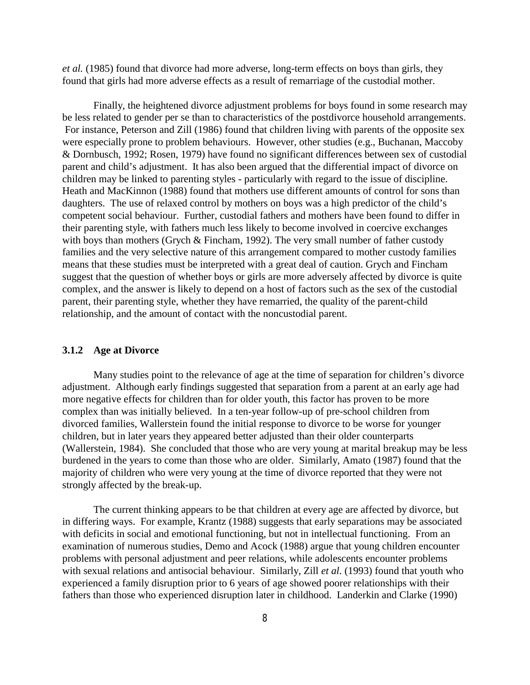<span id="page-10-0"></span>*et al.* (1985) found that divorce had more adverse, long-term effects on boys than girls, they found that girls had more adverse effects as a result of remarriage of the custodial mother.

Finally, the heightened divorce adjustment problems for boys found in some research may be less related to gender per se than to characteristics of the postdivorce household arrangements. For instance, Peterson and Zill (1986) found that children living with parents of the opposite sex were especially prone to problem behaviours. However, other studies (e.g., Buchanan, Maccoby & Dornbusch, 1992; Rosen, 1979) have found no significant differences between sex of custodial parent and child's adjustment. It has also been argued that the differential impact of divorce on children may be linked to parenting styles - particularly with regard to the issue of discipline. Heath and MacKinnon (1988) found that mothers use different amounts of control for sons than daughters. The use of relaxed control by mothers on boys was a high predictor of the child's competent social behaviour. Further, custodial fathers and mothers have been found to differ in their parenting style, with fathers much less likely to become involved in coercive exchanges with boys than mothers (Grych & Fincham, 1992). The very small number of father custody families and the very selective nature of this arrangement compared to mother custody families means that these studies must be interpreted with a great deal of caution. Grych and Fincham suggest that the question of whether boys or girls are more adversely affected by divorce is quite complex, and the answer is likely to depend on a host of factors such as the sex of the custodial parent, their parenting style, whether they have remarried, the quality of the parent-child relationship, and the amount of contact with the noncustodial parent.

#### **3.1.2 Age at Divorce**

Many studies point to the relevance of age at the time of separation for children's divorce adjustment. Although early findings suggested that separation from a parent at an early age had more negative effects for children than for older youth, this factor has proven to be more complex than was initially believed. In a ten-year follow-up of pre-school children from divorced families, Wallerstein found the initial response to divorce to be worse for younger children, but in later years they appeared better adjusted than their older counterparts (Wallerstein, 1984). She concluded that those who are very young at marital breakup may be less burdened in the years to come than those who are older. Similarly, Amato (1987) found that the majority of children who were very young at the time of divorce reported that they were not strongly affected by the break-up.

The current thinking appears to be that children at every age are affected by divorce, but in differing ways. For example, Krantz (1988) suggests that early separations may be associated with deficits in social and emotional functioning, but not in intellectual functioning. From an examination of numerous studies, Demo and Acock (1988) argue that young children encounter problems with personal adjustment and peer relations, while adolescents encounter problems with sexual relations and antisocial behaviour. Similarly, Zill *et al.* (1993) found that youth who experienced a family disruption prior to 6 years of age showed poorer relationships with their fathers than those who experienced disruption later in childhood. Landerkin and Clarke (1990)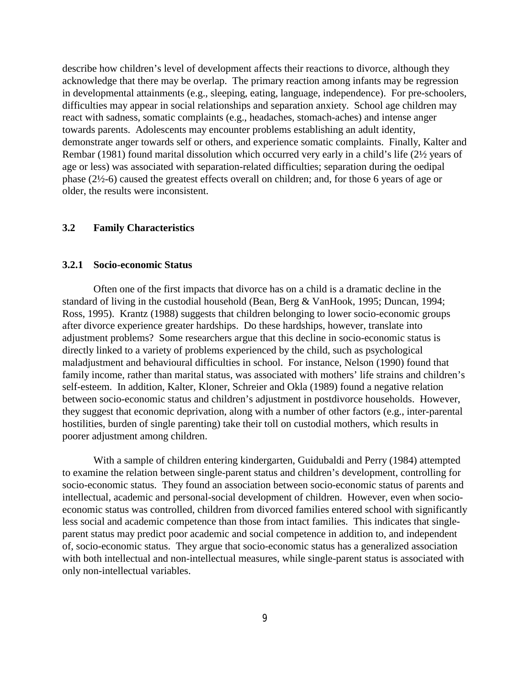<span id="page-11-0"></span>describe how children's level of development affects their reactions to divorce, although they acknowledge that there may be overlap. The primary reaction among infants may be regression in developmental attainments (e.g., sleeping, eating, language, independence). For pre-schoolers, difficulties may appear in social relationships and separation anxiety. School age children may react with sadness, somatic complaints (e.g., headaches, stomach-aches) and intense anger towards parents. Adolescents may encounter problems establishing an adult identity, demonstrate anger towards self or others, and experience somatic complaints. Finally, Kalter and Rembar (1981) found marital dissolution which occurred very early in a child's life (2½ years of age or less) was associated with separation-related difficulties; separation during the oedipal phase (2½-6) caused the greatest effects overall on children; and, for those 6 years of age or older, the results were inconsistent.

## **3.2 Family Characteristics**

### **3.2.1 Socio-economic Status**

Often one of the first impacts that divorce has on a child is a dramatic decline in the standard of living in the custodial household (Bean, Berg & VanHook, 1995; Duncan, 1994; Ross, 1995). Krantz (1988) suggests that children belonging to lower socio-economic groups after divorce experience greater hardships. Do these hardships, however, translate into adjustment problems? Some researchers argue that this decline in socio-economic status is directly linked to a variety of problems experienced by the child, such as psychological maladjustment and behavioural difficulties in school. For instance, Nelson (1990) found that family income, rather than marital status, was associated with mothers' life strains and children's self-esteem. In addition, Kalter, Kloner, Schreier and Okla (1989) found a negative relation between socio-economic status and children's adjustment in postdivorce households. However, they suggest that economic deprivation, along with a number of other factors (e.g., inter-parental hostilities, burden of single parenting) take their toll on custodial mothers, which results in poorer adjustment among children.

With a sample of children entering kindergarten, Guidubaldi and Perry (1984) attempted to examine the relation between single-parent status and children's development, controlling for socio-economic status. They found an association between socio-economic status of parents and intellectual, academic and personal-social development of children. However, even when socioeconomic status was controlled, children from divorced families entered school with significantly less social and academic competence than those from intact families. This indicates that singleparent status may predict poor academic and social competence in addition to, and independent of, socio-economic status. They argue that socio-economic status has a generalized association with both intellectual and non-intellectual measures, while single-parent status is associated with only non-intellectual variables.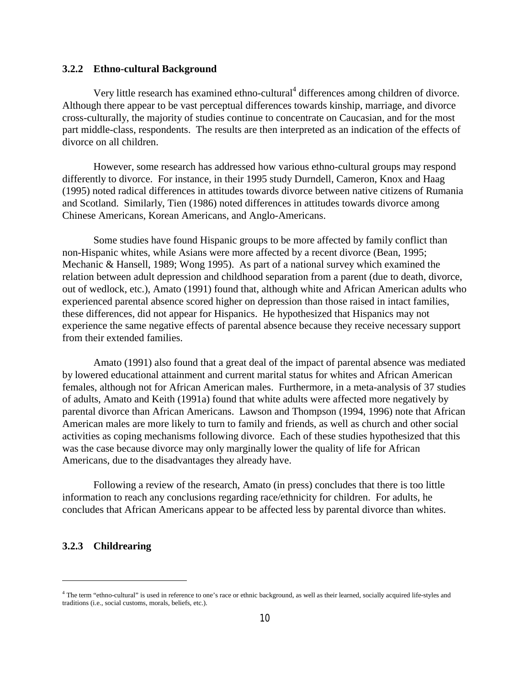### <span id="page-12-0"></span>**3.2.2 Ethno-cultural Background**

Very little research has examined ethno-cultural<sup>4</sup> differences among children of divorce. Although there appear to be vast perceptual differences towards kinship, marriage, and divorce cross-culturally, the majority of studies continue to concentrate on Caucasian, and for the most part middle-class, respondents. The results are then interpreted as an indication of the effects of divorce on all children.

However, some research has addressed how various ethno-cultural groups may respond differently to divorce. For instance, in their 1995 study Durndell, Cameron, Knox and Haag (1995) noted radical differences in attitudes towards divorce between native citizens of Rumania and Scotland. Similarly, Tien (1986) noted differences in attitudes towards divorce among Chinese Americans, Korean Americans, and Anglo-Americans.

Some studies have found Hispanic groups to be more affected by family conflict than non-Hispanic whites, while Asians were more affected by a recent divorce (Bean, 1995; Mechanic & Hansell, 1989; Wong 1995). As part of a national survey which examined the relation between adult depression and childhood separation from a parent (due to death, divorce, out of wedlock, etc.), Amato (1991) found that, although white and African American adults who experienced parental absence scored higher on depression than those raised in intact families, these differences, did not appear for Hispanics. He hypothesized that Hispanics may not experience the same negative effects of parental absence because they receive necessary support from their extended families.

Amato (1991) also found that a great deal of the impact of parental absence was mediated by lowered educational attainment and current marital status for whites and African American females, although not for African American males. Furthermore, in a meta-analysis of 37 studies of adults, Amato and Keith (1991a) found that white adults were affected more negatively by parental divorce than African Americans. Lawson and Thompson (1994, 1996) note that African American males are more likely to turn to family and friends, as well as church and other social activities as coping mechanisms following divorce. Each of these studies hypothesized that this was the case because divorce may only marginally lower the quality of life for African Americans, due to the disadvantages they already have.

Following a review of the research, Amato (in press) concludes that there is too little information to reach any conclusions regarding race/ethnicity for children. For adults, he concludes that African Americans appear to be affected less by parental divorce than whites.

### **3.2.3 Childrearing**

 $\overline{a}$ 

<sup>&</sup>lt;sup>4</sup> The term "ethno-cultural" is used in reference to one's race or ethnic background, as well as their learned, socially acquired life-styles and traditions (i.e., social customs, morals, beliefs, etc.).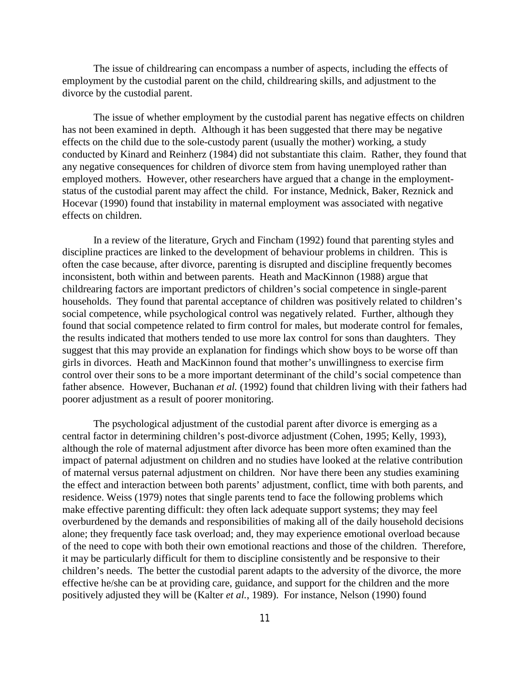The issue of childrearing can encompass a number of aspects, including the effects of employment by the custodial parent on the child, childrearing skills, and adjustment to the divorce by the custodial parent.

The issue of whether employment by the custodial parent has negative effects on children has not been examined in depth. Although it has been suggested that there may be negative effects on the child due to the sole-custody parent (usually the mother) working, a study conducted by Kinard and Reinherz (1984) did not substantiate this claim. Rather, they found that any negative consequences for children of divorce stem from having unemployed rather than employed mothers. However, other researchers have argued that a change in the employmentstatus of the custodial parent may affect the child. For instance, Mednick, Baker, Reznick and Hocevar (1990) found that instability in maternal employment was associated with negative effects on children.

In a review of the literature, Grych and Fincham (1992) found that parenting styles and discipline practices are linked to the development of behaviour problems in children. This is often the case because, after divorce, parenting is disrupted and discipline frequently becomes inconsistent, both within and between parents. Heath and MacKinnon (1988) argue that childrearing factors are important predictors of children's social competence in single-parent households. They found that parental acceptance of children was positively related to children's social competence, while psychological control was negatively related. Further, although they found that social competence related to firm control for males, but moderate control for females, the results indicated that mothers tended to use more lax control for sons than daughters. They suggest that this may provide an explanation for findings which show boys to be worse off than girls in divorces. Heath and MacKinnon found that mother's unwillingness to exercise firm control over their sons to be a more important determinant of the child's social competence than father absence. However, Buchanan *et al.* (1992) found that children living with their fathers had poorer adjustment as a result of poorer monitoring.

The psychological adjustment of the custodial parent after divorce is emerging as a central factor in determining children's post-divorce adjustment (Cohen, 1995; Kelly, 1993), although the role of maternal adjustment after divorce has been more often examined than the impact of paternal adjustment on children and no studies have looked at the relative contribution of maternal versus paternal adjustment on children. Nor have there been any studies examining the effect and interaction between both parents' adjustment, conflict, time with both parents, and residence. Weiss (1979) notes that single parents tend to face the following problems which make effective parenting difficult: they often lack adequate support systems; they may feel overburdened by the demands and responsibilities of making all of the daily household decisions alone; they frequently face task overload; and, they may experience emotional overload because of the need to cope with both their own emotional reactions and those of the children. Therefore, it may be particularly difficult for them to discipline consistently and be responsive to their children's needs. The better the custodial parent adapts to the adversity of the divorce, the more effective he/she can be at providing care, guidance, and support for the children and the more positively adjusted they will be (Kalter *et al.*, 1989). For instance, Nelson (1990) found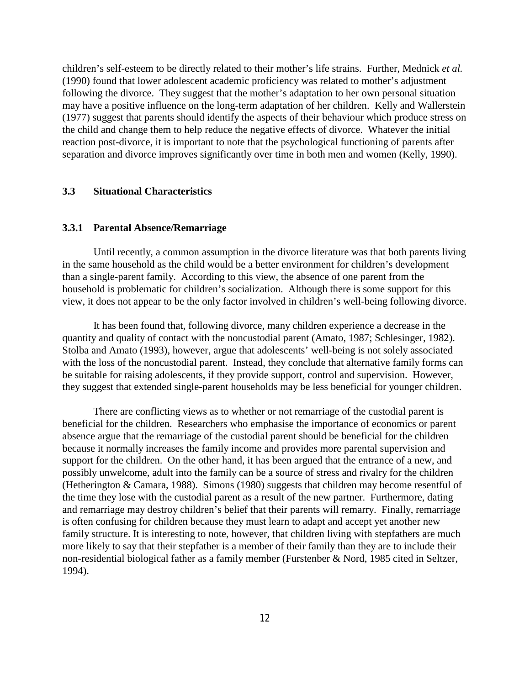<span id="page-14-0"></span>children's self-esteem to be directly related to their mother's life strains. Further, Mednick *et al.* (1990) found that lower adolescent academic proficiency was related to mother's adjustment following the divorce. They suggest that the mother's adaptation to her own personal situation may have a positive influence on the long-term adaptation of her children. Kelly and Wallerstein (1977) suggest that parents should identify the aspects of their behaviour which produce stress on the child and change them to help reduce the negative effects of divorce. Whatever the initial reaction post-divorce, it is important to note that the psychological functioning of parents after separation and divorce improves significantly over time in both men and women (Kelly, 1990).

## **3.3 Situational Characteristics**

### **3.3.1 Parental Absence/Remarriage**

Until recently, a common assumption in the divorce literature was that both parents living in the same household as the child would be a better environment for children's development than a single-parent family. According to this view, the absence of one parent from the household is problematic for children's socialization. Although there is some support for this view, it does not appear to be the only factor involved in children's well-being following divorce.

It has been found that, following divorce, many children experience a decrease in the quantity and quality of contact with the noncustodial parent (Amato, 1987; Schlesinger, 1982). Stolba and Amato (1993), however, argue that adolescents' well-being is not solely associated with the loss of the noncustodial parent. Instead, they conclude that alternative family forms can be suitable for raising adolescents, if they provide support, control and supervision. However, they suggest that extended single-parent households may be less beneficial for younger children.

There are conflicting views as to whether or not remarriage of the custodial parent is beneficial for the children. Researchers who emphasise the importance of economics or parent absence argue that the remarriage of the custodial parent should be beneficial for the children because it normally increases the family income and provides more parental supervision and support for the children. On the other hand, it has been argued that the entrance of a new, and possibly unwelcome, adult into the family can be a source of stress and rivalry for the children (Hetherington & Camara, 1988). Simons (1980) suggests that children may become resentful of the time they lose with the custodial parent as a result of the new partner. Furthermore, dating and remarriage may destroy children's belief that their parents will remarry. Finally, remarriage is often confusing for children because they must learn to adapt and accept yet another new family structure. It is interesting to note, however, that children living with stepfathers are much more likely to say that their stepfather is a member of their family than they are to include their non-residential biological father as a family member (Furstenber & Nord, 1985 cited in Seltzer, 1994).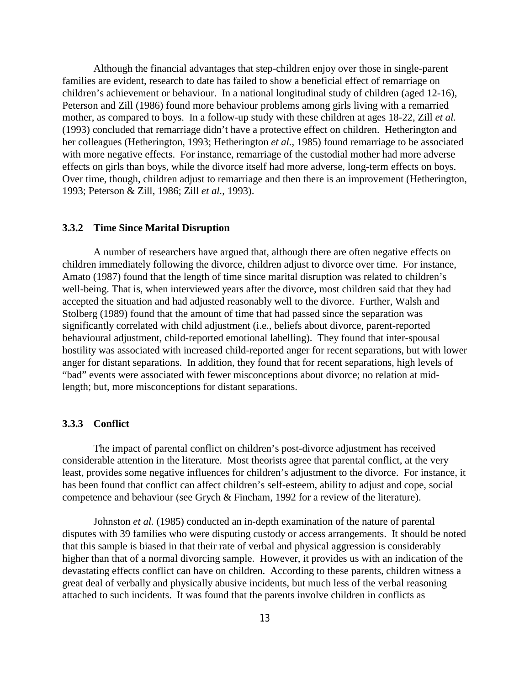<span id="page-15-0"></span>Although the financial advantages that step-children enjoy over those in single-parent families are evident, research to date has failed to show a beneficial effect of remarriage on children's achievement or behaviour. In a national longitudinal study of children (aged 12-16), Peterson and Zill (1986) found more behaviour problems among girls living with a remarried mother, as compared to boys. In a follow-up study with these children at ages 18-22, Zill *et al.* (1993) concluded that remarriage didn't have a protective effect on children. Hetherington and her colleagues (Hetherington, 1993; Hetherington *et al.*, 1985) found remarriage to be associated with more negative effects. For instance, remarriage of the custodial mother had more adverse effects on girls than boys, while the divorce itself had more adverse, long-term effects on boys. Over time, though, children adjust to remarriage and then there is an improvement (Hetherington, 1993; Peterson & Zill, 1986; Zill *et al.*, 1993).

### **3.3.2 Time Since Marital Disruption**

A number of researchers have argued that, although there are often negative effects on children immediately following the divorce, children adjust to divorce over time. For instance, Amato (1987) found that the length of time since marital disruption was related to children's well-being. That is, when interviewed years after the divorce, most children said that they had accepted the situation and had adjusted reasonably well to the divorce. Further, Walsh and Stolberg (1989) found that the amount of time that had passed since the separation was significantly correlated with child adjustment (i.e., beliefs about divorce, parent-reported behavioural adjustment, child-reported emotional labelling). They found that inter-spousal hostility was associated with increased child-reported anger for recent separations, but with lower anger for distant separations. In addition, they found that for recent separations, high levels of "bad" events were associated with fewer misconceptions about divorce; no relation at midlength; but, more misconceptions for distant separations.

### **3.3.3 Conflict**

The impact of parental conflict on children's post-divorce adjustment has received considerable attention in the literature. Most theorists agree that parental conflict, at the very least, provides some negative influences for children's adjustment to the divorce. For instance, it has been found that conflict can affect children's self-esteem, ability to adjust and cope, social competence and behaviour (see Grych & Fincham, 1992 for a review of the literature).

Johnston *et al.* (1985) conducted an in-depth examination of the nature of parental disputes with 39 families who were disputing custody or access arrangements. It should be noted that this sample is biased in that their rate of verbal and physical aggression is considerably higher than that of a normal divorcing sample. However, it provides us with an indication of the devastating effects conflict can have on children. According to these parents, children witness a great deal of verbally and physically abusive incidents, but much less of the verbal reasoning attached to such incidents. It was found that the parents involve children in conflicts as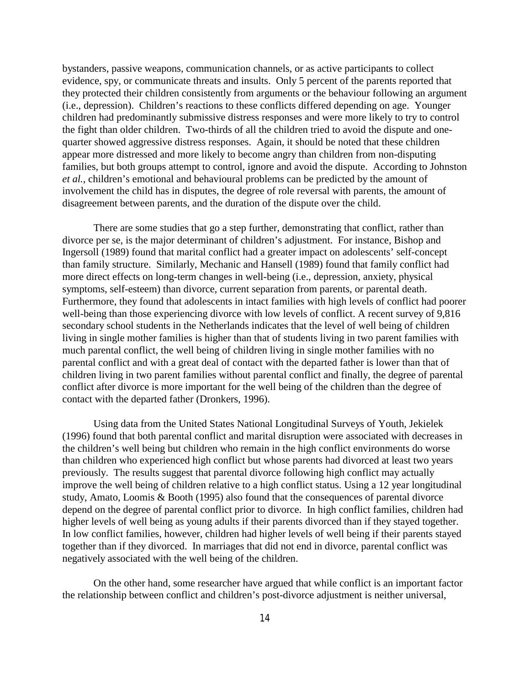bystanders, passive weapons, communication channels, or as active participants to collect evidence, spy, or communicate threats and insults. Only 5 percent of the parents reported that they protected their children consistently from arguments or the behaviour following an argument (i.e., depression). Children's reactions to these conflicts differed depending on age. Younger children had predominantly submissive distress responses and were more likely to try to control the fight than older children. Two-thirds of all the children tried to avoid the dispute and onequarter showed aggressive distress responses. Again, it should be noted that these children appear more distressed and more likely to become angry than children from non-disputing families, but both groups attempt to control, ignore and avoid the dispute. According to Johnston *et al.*, children's emotional and behavioural problems can be predicted by the amount of involvement the child has in disputes, the degree of role reversal with parents, the amount of disagreement between parents, and the duration of the dispute over the child.

There are some studies that go a step further, demonstrating that conflict, rather than divorce per se, is the major determinant of children's adjustment. For instance, Bishop and Ingersoll (1989) found that marital conflict had a greater impact on adolescents' self-concept than family structure. Similarly, Mechanic and Hansell (1989) found that family conflict had more direct effects on long-term changes in well-being (i.e., depression, anxiety, physical symptoms, self-esteem) than divorce, current separation from parents, or parental death. Furthermore, they found that adolescents in intact families with high levels of conflict had poorer well-being than those experiencing divorce with low levels of conflict. A recent survey of 9,816 secondary school students in the Netherlands indicates that the level of well being of children living in single mother families is higher than that of students living in two parent families with much parental conflict, the well being of children living in single mother families with no parental conflict and with a great deal of contact with the departed father is lower than that of children living in two parent families without parental conflict and finally, the degree of parental conflict after divorce is more important for the well being of the children than the degree of contact with the departed father (Dronkers, 1996).

Using data from the United States National Longitudinal Surveys of Youth, Jekielek (1996) found that both parental conflict and marital disruption were associated with decreases in the children's well being but children who remain in the high conflict environments do worse than children who experienced high conflict but whose parents had divorced at least two years previously. The results suggest that parental divorce following high conflict may actually improve the well being of children relative to a high conflict status. Using a 12 year longitudinal study, Amato, Loomis & Booth (1995) also found that the consequences of parental divorce depend on the degree of parental conflict prior to divorce. In high conflict families, children had higher levels of well being as young adults if their parents divorced than if they stayed together. In low conflict families, however, children had higher levels of well being if their parents stayed together than if they divorced. In marriages that did not end in divorce, parental conflict was negatively associated with the well being of the children.

On the other hand, some researcher have argued that while conflict is an important factor the relationship between conflict and children's post-divorce adjustment is neither universal,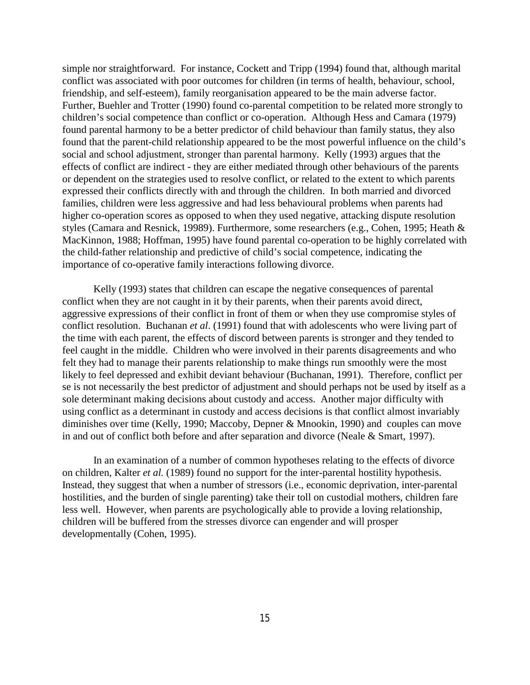simple nor straightforward. For instance, Cockett and Tripp (1994) found that, although marital conflict was associated with poor outcomes for children (in terms of health, behaviour, school, friendship, and self-esteem), family reorganisation appeared to be the main adverse factor. Further, Buehler and Trotter (1990) found co-parental competition to be related more strongly to children's social competence than conflict or co-operation. Although Hess and Camara (1979) found parental harmony to be a better predictor of child behaviour than family status, they also found that the parent-child relationship appeared to be the most powerful influence on the child's social and school adjustment, stronger than parental harmony. Kelly (1993) argues that the effects of conflict are indirect - they are either mediated through other behaviours of the parents or dependent on the strategies used to resolve conflict, or related to the extent to which parents expressed their conflicts directly with and through the children. In both married and divorced families, children were less aggressive and had less behavioural problems when parents had higher co-operation scores as opposed to when they used negative, attacking dispute resolution styles (Camara and Resnick, 19989). Furthermore, some researchers (e.g., Cohen, 1995; Heath & MacKinnon, 1988; Hoffman, 1995) have found parental co-operation to be highly correlated with the child-father relationship and predictive of child's social competence, indicating the importance of co-operative family interactions following divorce.

Kelly (1993) states that children can escape the negative consequences of parental conflict when they are not caught in it by their parents, when their parents avoid direct, aggressive expressions of their conflict in front of them or when they use compromise styles of conflict resolution. Buchanan *et al*. (1991) found that with adolescents who were living part of the time with each parent, the effects of discord between parents is stronger and they tended to feel caught in the middle. Children who were involved in their parents disagreements and who felt they had to manage their parents relationship to make things run smoothly were the most likely to feel depressed and exhibit deviant behaviour (Buchanan, 1991). Therefore, conflict per se is not necessarily the best predictor of adjustment and should perhaps not be used by itself as a sole determinant making decisions about custody and access. Another major difficulty with using conflict as a determinant in custody and access decisions is that conflict almost invariably diminishes over time (Kelly, 1990; Maccoby, Depner & Mnookin, 1990) and couples can move in and out of conflict both before and after separation and divorce (Neale & Smart, 1997).

In an examination of a number of common hypotheses relating to the effects of divorce on children, Kalter *et al.* (1989) found no support for the inter-parental hostility hypothesis. Instead, they suggest that when a number of stressors (i.e., economic deprivation, inter-parental hostilities, and the burden of single parenting) take their toll on custodial mothers, children fare less well. However, when parents are psychologically able to provide a loving relationship, children will be buffered from the stresses divorce can engender and will prosper developmentally (Cohen, 1995).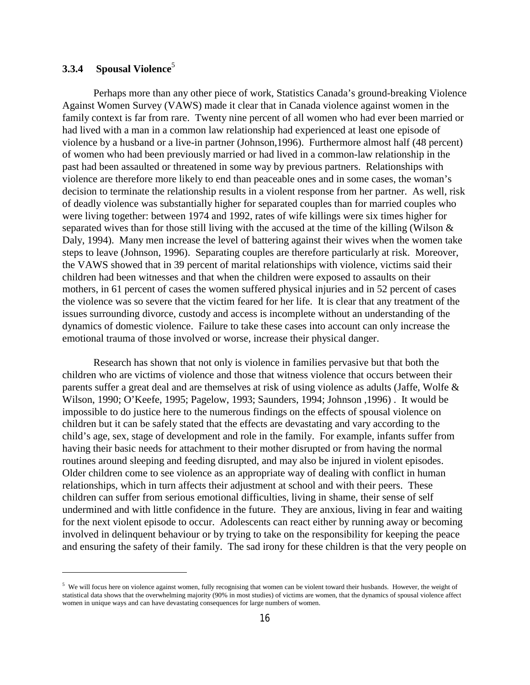## <span id="page-18-0"></span>**3.3.4 Spousal Violence**<sup>5</sup>

 $\overline{a}$ 

Perhaps more than any other piece of work, Statistics Canada's ground-breaking Violence Against Women Survey (VAWS) made it clear that in Canada violence against women in the family context is far from rare. Twenty nine percent of all women who had ever been married or had lived with a man in a common law relationship had experienced at least one episode of violence by a husband or a live-in partner (Johnson,1996). Furthermore almost half (48 percent) of women who had been previously married or had lived in a common-law relationship in the past had been assaulted or threatened in some way by previous partners. Relationships with violence are therefore more likely to end than peaceable ones and in some cases, the woman's decision to terminate the relationship results in a violent response from her partner. As well, risk of deadly violence was substantially higher for separated couples than for married couples who were living together: between 1974 and 1992, rates of wife killings were six times higher for separated wives than for those still living with the accused at the time of the killing (Wilson & Daly, 1994). Many men increase the level of battering against their wives when the women take steps to leave (Johnson, 1996). Separating couples are therefore particularly at risk. Moreover, the VAWS showed that in 39 percent of marital relationships with violence, victims said their children had been witnesses and that when the children were exposed to assaults on their mothers, in 61 percent of cases the women suffered physical injuries and in 52 percent of cases the violence was so severe that the victim feared for her life. It is clear that any treatment of the issues surrounding divorce, custody and access is incomplete without an understanding of the dynamics of domestic violence. Failure to take these cases into account can only increase the emotional trauma of those involved or worse, increase their physical danger.

Research has shown that not only is violence in families pervasive but that both the children who are victims of violence and those that witness violence that occurs between their parents suffer a great deal and are themselves at risk of using violence as adults (Jaffe, Wolfe & Wilson, 1990; O'Keefe, 1995; Pagelow, 1993; Saunders, 1994; Johnson ,1996) . It would be impossible to do justice here to the numerous findings on the effects of spousal violence on children but it can be safely stated that the effects are devastating and vary according to the child's age, sex, stage of development and role in the family. For example, infants suffer from having their basic needs for attachment to their mother disrupted or from having the normal routines around sleeping and feeding disrupted, and may also be injured in violent episodes. Older children come to see violence as an appropriate way of dealing with conflict in human relationships, which in turn affects their adjustment at school and with their peers. These children can suffer from serious emotional difficulties, living in shame, their sense of self undermined and with little confidence in the future. They are anxious, living in fear and waiting for the next violent episode to occur. Adolescents can react either by running away or becoming involved in delinquent behaviour or by trying to take on the responsibility for keeping the peace and ensuring the safety of their family. The sad irony for these children is that the very people on

 $5$  We will focus here on violence against women, fully recognising that women can be violent toward their husbands. However, the weight of statistical data shows that the overwhelming majority (90% in most studies) of victims are women, that the dynamics of spousal violence affect women in unique ways and can have devastating consequences for large numbers of women.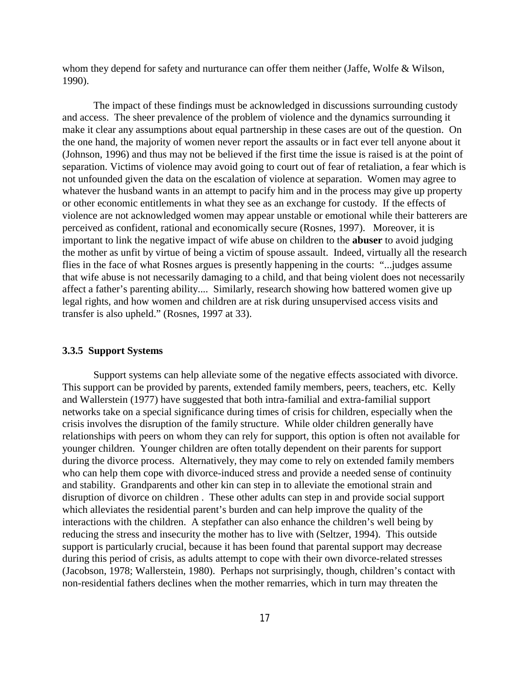<span id="page-19-0"></span>whom they depend for safety and nurturance can offer them neither (Jaffe, Wolfe & Wilson, 1990).

The impact of these findings must be acknowledged in discussions surrounding custody and access. The sheer prevalence of the problem of violence and the dynamics surrounding it make it clear any assumptions about equal partnership in these cases are out of the question. On the one hand, the majority of women never report the assaults or in fact ever tell anyone about it (Johnson, 1996) and thus may not be believed if the first time the issue is raised is at the point of separation. Victims of violence may avoid going to court out of fear of retaliation, a fear which is not unfounded given the data on the escalation of violence at separation. Women may agree to whatever the husband wants in an attempt to pacify him and in the process may give up property or other economic entitlements in what they see as an exchange for custody. If the effects of violence are not acknowledged women may appear unstable or emotional while their batterers are perceived as confident, rational and economically secure (Rosnes, 1997). Moreover, it is important to link the negative impact of wife abuse on children to the **abuser** to avoid judging the mother as unfit by virtue of being a victim of spouse assault. Indeed, virtually all the research flies in the face of what Rosnes argues is presently happening in the courts: "...judges assume that wife abuse is not necessarily damaging to a child, and that being violent does not necessarily affect a father's parenting ability.... Similarly, research showing how battered women give up legal rights, and how women and children are at risk during unsupervised access visits and transfer is also upheld." (Rosnes, 1997 at 33).

#### **3.3.5 Support Systems**

Support systems can help alleviate some of the negative effects associated with divorce. This support can be provided by parents, extended family members, peers, teachers, etc. Kelly and Wallerstein (1977) have suggested that both intra-familial and extra-familial support networks take on a special significance during times of crisis for children, especially when the crisis involves the disruption of the family structure. While older children generally have relationships with peers on whom they can rely for support, this option is often not available for younger children. Younger children are often totally dependent on their parents for support during the divorce process. Alternatively, they may come to rely on extended family members who can help them cope with divorce-induced stress and provide a needed sense of continuity and stability. Grandparents and other kin can step in to alleviate the emotional strain and disruption of divorce on children . These other adults can step in and provide social support which alleviates the residential parent's burden and can help improve the quality of the interactions with the children. A stepfather can also enhance the children's well being by reducing the stress and insecurity the mother has to live with (Seltzer, 1994). This outside support is particularly crucial, because it has been found that parental support may decrease during this period of crisis, as adults attempt to cope with their own divorce-related stresses (Jacobson, 1978; Wallerstein, 1980). Perhaps not surprisingly, though, children's contact with non-residential fathers declines when the mother remarries, which in turn may threaten the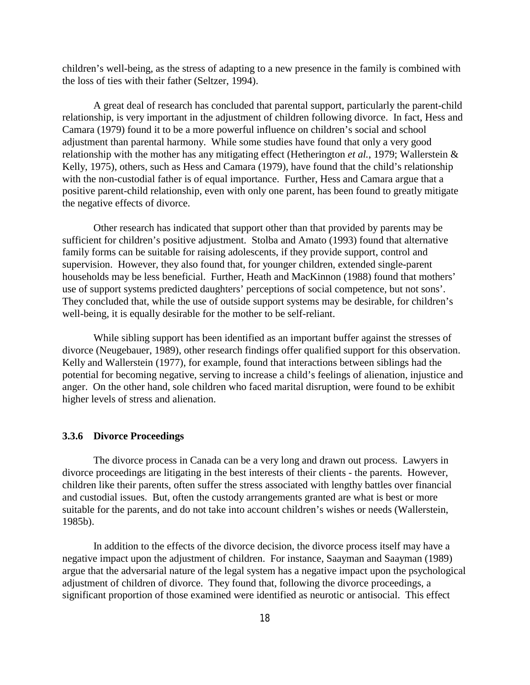<span id="page-20-0"></span>children's well-being, as the stress of adapting to a new presence in the family is combined with the loss of ties with their father (Seltzer, 1994).

A great deal of research has concluded that parental support, particularly the parent-child relationship, is very important in the adjustment of children following divorce. In fact, Hess and Camara (1979) found it to be a more powerful influence on children's social and school adjustment than parental harmony. While some studies have found that only a very good relationship with the mother has any mitigating effect (Hetherington *et al.*, 1979; Wallerstein & Kelly, 1975), others, such as Hess and Camara (1979), have found that the child's relationship with the non-custodial father is of equal importance. Further, Hess and Camara argue that a positive parent-child relationship, even with only one parent, has been found to greatly mitigate the negative effects of divorce.

Other research has indicated that support other than that provided by parents may be sufficient for children's positive adjustment. Stolba and Amato (1993) found that alternative family forms can be suitable for raising adolescents, if they provide support, control and supervision. However, they also found that, for younger children, extended single-parent households may be less beneficial. Further, Heath and MacKinnon (1988) found that mothers' use of support systems predicted daughters' perceptions of social competence, but not sons'. They concluded that, while the use of outside support systems may be desirable, for children's well-being, it is equally desirable for the mother to be self-reliant.

While sibling support has been identified as an important buffer against the stresses of divorce (Neugebauer, 1989), other research findings offer qualified support for this observation. Kelly and Wallerstein (1977), for example, found that interactions between siblings had the potential for becoming negative, serving to increase a child's feelings of alienation, injustice and anger. On the other hand, sole children who faced marital disruption, were found to be exhibit higher levels of stress and alienation.

#### **3.3.6 Divorce Proceedings**

The divorce process in Canada can be a very long and drawn out process. Lawyers in divorce proceedings are litigating in the best interests of their clients - the parents. However, children like their parents, often suffer the stress associated with lengthy battles over financial and custodial issues. But, often the custody arrangements granted are what is best or more suitable for the parents, and do not take into account children's wishes or needs (Wallerstein, 1985b).

In addition to the effects of the divorce decision, the divorce process itself may have a negative impact upon the adjustment of children. For instance, Saayman and Saayman (1989) argue that the adversarial nature of the legal system has a negative impact upon the psychological adjustment of children of divorce. They found that, following the divorce proceedings, a significant proportion of those examined were identified as neurotic or antisocial. This effect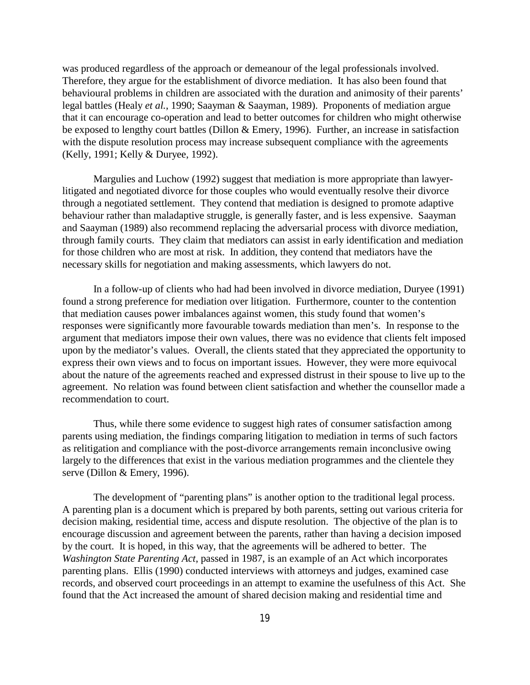was produced regardless of the approach or demeanour of the legal professionals involved. Therefore, they argue for the establishment of divorce mediation. It has also been found that behavioural problems in children are associated with the duration and animosity of their parents' legal battles (Healy *et al.*, 1990; Saayman & Saayman, 1989). Proponents of mediation argue that it can encourage co-operation and lead to better outcomes for children who might otherwise be exposed to lengthy court battles (Dillon & Emery, 1996). Further, an increase in satisfaction with the dispute resolution process may increase subsequent compliance with the agreements (Kelly, 1991; Kelly & Duryee, 1992).

Margulies and Luchow (1992) suggest that mediation is more appropriate than lawyerlitigated and negotiated divorce for those couples who would eventually resolve their divorce through a negotiated settlement. They contend that mediation is designed to promote adaptive behaviour rather than maladaptive struggle, is generally faster, and is less expensive. Saayman and Saayman (1989) also recommend replacing the adversarial process with divorce mediation, through family courts. They claim that mediators can assist in early identification and mediation for those children who are most at risk. In addition, they contend that mediators have the necessary skills for negotiation and making assessments, which lawyers do not.

In a follow-up of clients who had had been involved in divorce mediation, Duryee (1991) found a strong preference for mediation over litigation. Furthermore, counter to the contention that mediation causes power imbalances against women, this study found that women's responses were significantly more favourable towards mediation than men's. In response to the argument that mediators impose their own values, there was no evidence that clients felt imposed upon by the mediator's values. Overall, the clients stated that they appreciated the opportunity to express their own views and to focus on important issues. However, they were more equivocal about the nature of the agreements reached and expressed distrust in their spouse to live up to the agreement. No relation was found between client satisfaction and whether the counsellor made a recommendation to court.

Thus, while there some evidence to suggest high rates of consumer satisfaction among parents using mediation, the findings comparing litigation to mediation in terms of such factors as relitigation and compliance with the post-divorce arrangements remain inconclusive owing largely to the differences that exist in the various mediation programmes and the clientele they serve (Dillon & Emery, 1996).

The development of "parenting plans" is another option to the traditional legal process. A parenting plan is a document which is prepared by both parents, setting out various criteria for decision making, residential time, access and dispute resolution. The objective of the plan is to encourage discussion and agreement between the parents, rather than having a decision imposed by the court. It is hoped, in this way, that the agreements will be adhered to better. The *Washington State Parenting Act*, passed in 1987, is an example of an Act which incorporates parenting plans. Ellis (1990) conducted interviews with attorneys and judges, examined case records, and observed court proceedings in an attempt to examine the usefulness of this Act. She found that the Act increased the amount of shared decision making and residential time and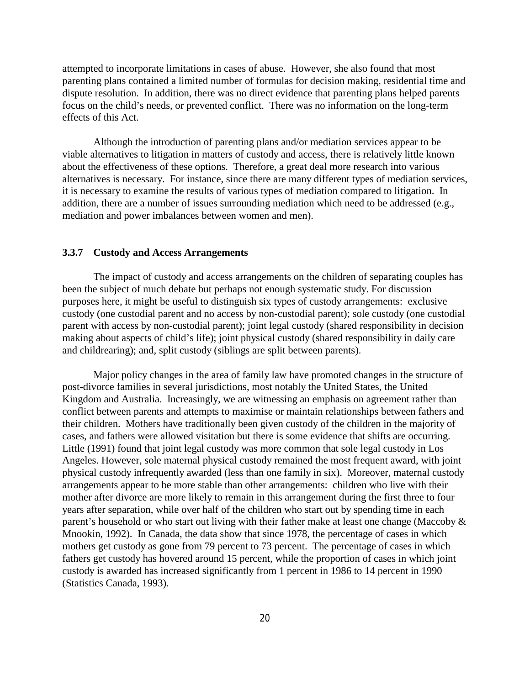<span id="page-22-0"></span>attempted to incorporate limitations in cases of abuse. However, she also found that most parenting plans contained a limited number of formulas for decision making, residential time and dispute resolution. In addition, there was no direct evidence that parenting plans helped parents focus on the child's needs, or prevented conflict. There was no information on the long-term effects of this Act.

Although the introduction of parenting plans and/or mediation services appear to be viable alternatives to litigation in matters of custody and access, there is relatively little known about the effectiveness of these options. Therefore, a great deal more research into various alternatives is necessary. For instance, since there are many different types of mediation services, it is necessary to examine the results of various types of mediation compared to litigation. In addition, there are a number of issues surrounding mediation which need to be addressed (e.g., mediation and power imbalances between women and men).

### **3.3.7 Custody and Access Arrangements**

The impact of custody and access arrangements on the children of separating couples has been the subject of much debate but perhaps not enough systematic study. For discussion purposes here, it might be useful to distinguish six types of custody arrangements: exclusive custody (one custodial parent and no access by non-custodial parent); sole custody (one custodial parent with access by non-custodial parent); joint legal custody (shared responsibility in decision making about aspects of child's life); joint physical custody (shared responsibility in daily care and childrearing); and, split custody (siblings are split between parents).

Major policy changes in the area of family law have promoted changes in the structure of post-divorce families in several jurisdictions, most notably the United States, the United Kingdom and Australia. Increasingly, we are witnessing an emphasis on agreement rather than conflict between parents and attempts to maximise or maintain relationships between fathers and their children. Mothers have traditionally been given custody of the children in the majority of cases, and fathers were allowed visitation but there is some evidence that shifts are occurring. Little (1991) found that joint legal custody was more common that sole legal custody in Los Angeles. However, sole maternal physical custody remained the most frequent award, with joint physical custody infrequently awarded (less than one family in six). Moreover, maternal custody arrangements appear to be more stable than other arrangements: children who live with their mother after divorce are more likely to remain in this arrangement during the first three to four years after separation, while over half of the children who start out by spending time in each parent's household or who start out living with their father make at least one change (Maccoby & Mnookin, 1992). In Canada, the data show that since 1978, the percentage of cases in which mothers get custody as gone from 79 percent to 73 percent. The percentage of cases in which fathers get custody has hovered around 15 percent, while the proportion of cases in which joint custody is awarded has increased significantly from 1 percent in 1986 to 14 percent in 1990 (Statistics Canada, 1993).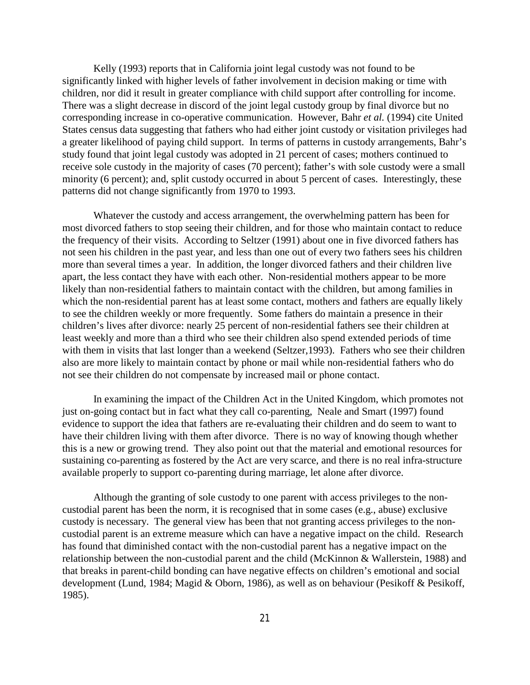Kelly (1993) reports that in California joint legal custody was not found to be significantly linked with higher levels of father involvement in decision making or time with children, nor did it result in greater compliance with child support after controlling for income. There was a slight decrease in discord of the joint legal custody group by final divorce but no corresponding increase in co-operative communication. However, Bahr *et al.* (1994) cite United States census data suggesting that fathers who had either joint custody or visitation privileges had a greater likelihood of paying child support. In terms of patterns in custody arrangements, Bahr's study found that joint legal custody was adopted in 21 percent of cases; mothers continued to receive sole custody in the majority of cases (70 percent); father's with sole custody were a small minority (6 percent); and, split custody occurred in about 5 percent of cases. Interestingly, these patterns did not change significantly from 1970 to 1993.

Whatever the custody and access arrangement, the overwhelming pattern has been for most divorced fathers to stop seeing their children, and for those who maintain contact to reduce the frequency of their visits. According to Seltzer (1991) about one in five divorced fathers has not seen his children in the past year, and less than one out of every two fathers sees his children more than several times a year. In addition, the longer divorced fathers and their children live apart, the less contact they have with each other. Non-residential mothers appear to be more likely than non-residential fathers to maintain contact with the children, but among families in which the non-residential parent has at least some contact, mothers and fathers are equally likely to see the children weekly or more frequently. Some fathers do maintain a presence in their children's lives after divorce: nearly 25 percent of non-residential fathers see their children at least weekly and more than a third who see their children also spend extended periods of time with them in visits that last longer than a weekend (Seltzer, 1993). Fathers who see their children also are more likely to maintain contact by phone or mail while non-residential fathers who do not see their children do not compensate by increased mail or phone contact.

In examining the impact of the Children Act in the United Kingdom, which promotes not just on-going contact but in fact what they call co-parenting, Neale and Smart (1997) found evidence to support the idea that fathers are re-evaluating their children and do seem to want to have their children living with them after divorce. There is no way of knowing though whether this is a new or growing trend. They also point out that the material and emotional resources for sustaining co-parenting as fostered by the Act are very scarce, and there is no real infra-structure available properly to support co-parenting during marriage, let alone after divorce.

Although the granting of sole custody to one parent with access privileges to the noncustodial parent has been the norm, it is recognised that in some cases (e.g., abuse) exclusive custody is necessary. The general view has been that not granting access privileges to the noncustodial parent is an extreme measure which can have a negative impact on the child. Research has found that diminished contact with the non-custodial parent has a negative impact on the relationship between the non-custodial parent and the child (McKinnon & Wallerstein, 1988) and that breaks in parent-child bonding can have negative effects on children's emotional and social development (Lund, 1984; Magid & Oborn, 1986), as well as on behaviour (Pesikoff & Pesikoff, 1985).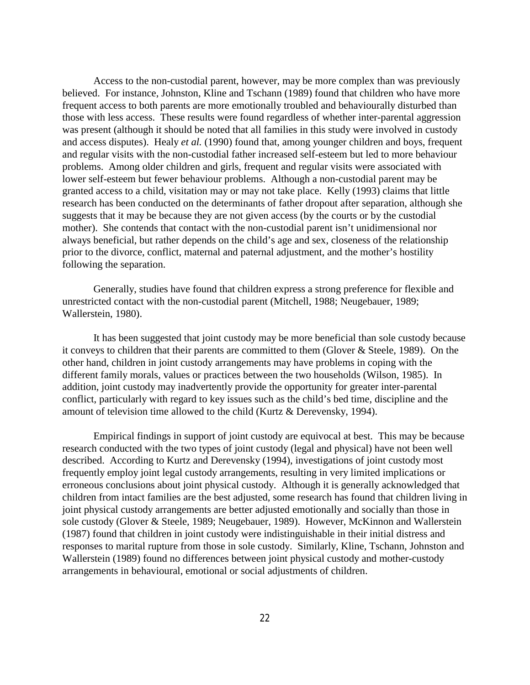Access to the non-custodial parent, however, may be more complex than was previously believed. For instance, Johnston, Kline and Tschann (1989) found that children who have more frequent access to both parents are more emotionally troubled and behaviourally disturbed than those with less access. These results were found regardless of whether inter-parental aggression was present (although it should be noted that all families in this study were involved in custody and access disputes). Healy *et al.* (1990) found that, among younger children and boys, frequent and regular visits with the non-custodial father increased self-esteem but led to more behaviour problems. Among older children and girls, frequent and regular visits were associated with lower self-esteem but fewer behaviour problems. Although a non-custodial parent may be granted access to a child, visitation may or may not take place. Kelly (1993) claims that little research has been conducted on the determinants of father dropout after separation, although she suggests that it may be because they are not given access (by the courts or by the custodial mother). She contends that contact with the non-custodial parent isn't unidimensional nor always beneficial, but rather depends on the child's age and sex, closeness of the relationship prior to the divorce, conflict, maternal and paternal adjustment, and the mother's hostility following the separation.

Generally, studies have found that children express a strong preference for flexible and unrestricted contact with the non-custodial parent (Mitchell, 1988; Neugebauer, 1989; Wallerstein, 1980).

It has been suggested that joint custody may be more beneficial than sole custody because it conveys to children that their parents are committed to them (Glover & Steele, 1989). On the other hand, children in joint custody arrangements may have problems in coping with the different family morals, values or practices between the two households (Wilson, 1985). In addition, joint custody may inadvertently provide the opportunity for greater inter-parental conflict, particularly with regard to key issues such as the child's bed time, discipline and the amount of television time allowed to the child (Kurtz & Derevensky, 1994).

Empirical findings in support of joint custody are equivocal at best. This may be because research conducted with the two types of joint custody (legal and physical) have not been well described. According to Kurtz and Derevensky (1994), investigations of joint custody most frequently employ joint legal custody arrangements, resulting in very limited implications or erroneous conclusions about joint physical custody. Although it is generally acknowledged that children from intact families are the best adjusted, some research has found that children living in joint physical custody arrangements are better adjusted emotionally and socially than those in sole custody (Glover & Steele, 1989; Neugebauer, 1989). However, McKinnon and Wallerstein (1987) found that children in joint custody were indistinguishable in their initial distress and responses to marital rupture from those in sole custody. Similarly, Kline, Tschann, Johnston and Wallerstein (1989) found no differences between joint physical custody and mother-custody arrangements in behavioural, emotional or social adjustments of children.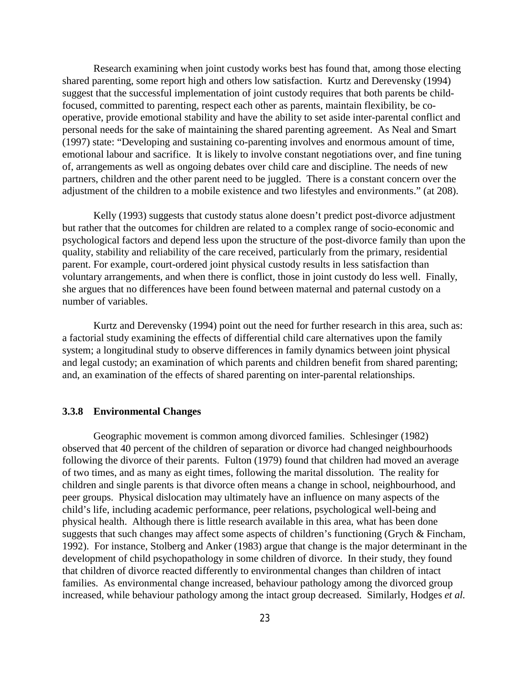<span id="page-25-0"></span>Research examining when joint custody works best has found that, among those electing shared parenting, some report high and others low satisfaction. Kurtz and Derevensky (1994) suggest that the successful implementation of joint custody requires that both parents be childfocused, committed to parenting, respect each other as parents, maintain flexibility, be cooperative, provide emotional stability and have the ability to set aside inter-parental conflict and personal needs for the sake of maintaining the shared parenting agreement. As Neal and Smart (1997) state: "Developing and sustaining co-parenting involves and enormous amount of time, emotional labour and sacrifice. It is likely to involve constant negotiations over, and fine tuning of, arrangements as well as ongoing debates over child care and discipline. The needs of new partners, children and the other parent need to be juggled. There is a constant concern over the adjustment of the children to a mobile existence and two lifestyles and environments." (at 208).

Kelly (1993) suggests that custody status alone doesn't predict post-divorce adjustment but rather that the outcomes for children are related to a complex range of socio-economic and psychological factors and depend less upon the structure of the post-divorce family than upon the quality, stability and reliability of the care received, particularly from the primary, residential parent. For example, court-ordered joint physical custody results in less satisfaction than voluntary arrangements, and when there is conflict, those in joint custody do less well. Finally, she argues that no differences have been found between maternal and paternal custody on a number of variables.

Kurtz and Derevensky (1994) point out the need for further research in this area, such as: a factorial study examining the effects of differential child care alternatives upon the family system; a longitudinal study to observe differences in family dynamics between joint physical and legal custody; an examination of which parents and children benefit from shared parenting; and, an examination of the effects of shared parenting on inter-parental relationships.

### **3.3.8 Environmental Changes**

Geographic movement is common among divorced families. Schlesinger (1982) observed that 40 percent of the children of separation or divorce had changed neighbourhoods following the divorce of their parents. Fulton (1979) found that children had moved an average of two times, and as many as eight times, following the marital dissolution. The reality for children and single parents is that divorce often means a change in school, neighbourhood, and peer groups. Physical dislocation may ultimately have an influence on many aspects of the child's life, including academic performance, peer relations, psychological well-being and physical health. Although there is little research available in this area, what has been done suggests that such changes may affect some aspects of children's functioning (Grych & Fincham, 1992). For instance, Stolberg and Anker (1983) argue that change is the major determinant in the development of child psychopathology in some children of divorce. In their study, they found that children of divorce reacted differently to environmental changes than children of intact families. As environmental change increased, behaviour pathology among the divorced group increased, while behaviour pathology among the intact group decreased. Similarly, Hodges *et al.*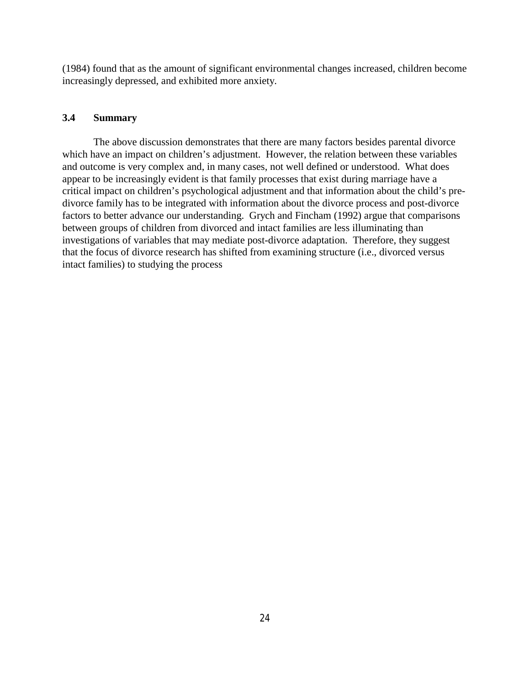(1984) found that as the amount of significant environmental changes increased, children become increasingly depressed, and exhibited more anxiety.

## **3.4 Summary**

The above discussion demonstrates that there are many factors besides parental divorce which have an impact on children's adjustment. However, the relation between these variables and outcome is very complex and, in many cases, not well defined or understood. What does appear to be increasingly evident is that family processes that exist during marriage have a critical impact on children's psychological adjustment and that information about the child's predivorce family has to be integrated with information about the divorce process and post-divorce factors to better advance our understanding. Grych and Fincham (1992) argue that comparisons between groups of children from divorced and intact families are less illuminating than investigations of variables that may mediate post-divorce adaptation. Therefore, they suggest that the focus of divorce research has shifted from examining structure (i.e., divorced versus intact families) to studying the process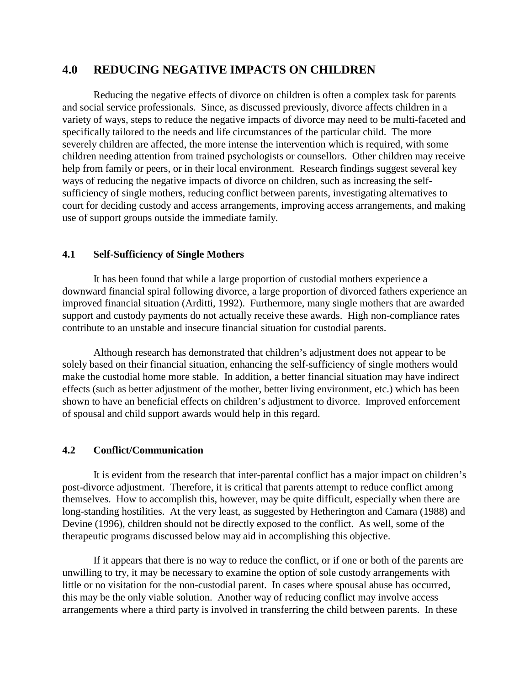# <span id="page-27-0"></span>**4.0 REDUCING NEGATIVE IMPACTS ON CHILDREN**

Reducing the negative effects of divorce on children is often a complex task for parents and social service professionals. Since, as discussed previously, divorce affects children in a variety of ways, steps to reduce the negative impacts of divorce may need to be multi-faceted and specifically tailored to the needs and life circumstances of the particular child. The more severely children are affected, the more intense the intervention which is required, with some children needing attention from trained psychologists or counsellors. Other children may receive help from family or peers, or in their local environment. Research findings suggest several key ways of reducing the negative impacts of divorce on children, such as increasing the selfsufficiency of single mothers, reducing conflict between parents, investigating alternatives to court for deciding custody and access arrangements, improving access arrangements, and making use of support groups outside the immediate family.

## **4.1 Self-Sufficiency of Single Mothers**

It has been found that while a large proportion of custodial mothers experience a downward financial spiral following divorce, a large proportion of divorced fathers experience an improved financial situation (Arditti, 1992). Furthermore, many single mothers that are awarded support and custody payments do not actually receive these awards. High non-compliance rates contribute to an unstable and insecure financial situation for custodial parents.

Although research has demonstrated that children's adjustment does not appear to be solely based on their financial situation, enhancing the self-sufficiency of single mothers would make the custodial home more stable. In addition, a better financial situation may have indirect effects (such as better adjustment of the mother, better living environment, etc.) which has been shown to have an beneficial effects on children's adjustment to divorce. Improved enforcement of spousal and child support awards would help in this regard.

## **4.2 Conflict/Communication**

It is evident from the research that inter-parental conflict has a major impact on children's post-divorce adjustment. Therefore, it is critical that parents attempt to reduce conflict among themselves. How to accomplish this, however, may be quite difficult, especially when there are long-standing hostilities. At the very least, as suggested by Hetherington and Camara (1988) and Devine (1996), children should not be directly exposed to the conflict. As well, some of the therapeutic programs discussed below may aid in accomplishing this objective.

If it appears that there is no way to reduce the conflict, or if one or both of the parents are unwilling to try, it may be necessary to examine the option of sole custody arrangements with little or no visitation for the non-custodial parent. In cases where spousal abuse has occurred, this may be the only viable solution. Another way of reducing conflict may involve access arrangements where a third party is involved in transferring the child between parents. In these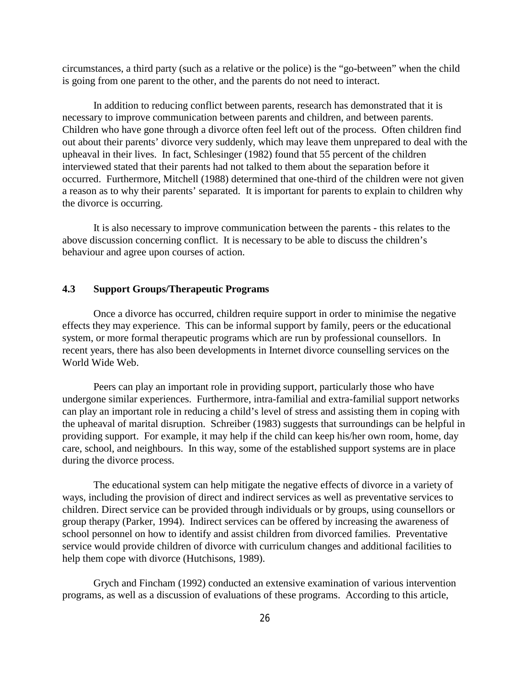<span id="page-28-0"></span>circumstances, a third party (such as a relative or the police) is the "go-between" when the child is going from one parent to the other, and the parents do not need to interact.

In addition to reducing conflict between parents, research has demonstrated that it is necessary to improve communication between parents and children, and between parents. Children who have gone through a divorce often feel left out of the process. Often children find out about their parents' divorce very suddenly, which may leave them unprepared to deal with the upheaval in their lives. In fact, Schlesinger (1982) found that 55 percent of the children interviewed stated that their parents had not talked to them about the separation before it occurred. Furthermore, Mitchell (1988) determined that one-third of the children were not given a reason as to why their parents' separated. It is important for parents to explain to children why the divorce is occurring.

It is also necessary to improve communication between the parents - this relates to the above discussion concerning conflict. It is necessary to be able to discuss the children's behaviour and agree upon courses of action.

### **4.3 Support Groups/Therapeutic Programs**

Once a divorce has occurred, children require support in order to minimise the negative effects they may experience. This can be informal support by family, peers or the educational system, or more formal therapeutic programs which are run by professional counsellors. In recent years, there has also been developments in Internet divorce counselling services on the World Wide Web.

Peers can play an important role in providing support, particularly those who have undergone similar experiences. Furthermore, intra-familial and extra-familial support networks can play an important role in reducing a child's level of stress and assisting them in coping with the upheaval of marital disruption. Schreiber (1983) suggests that surroundings can be helpful in providing support. For example, it may help if the child can keep his/her own room, home, day care, school, and neighbours. In this way, some of the established support systems are in place during the divorce process.

The educational system can help mitigate the negative effects of divorce in a variety of ways, including the provision of direct and indirect services as well as preventative services to children. Direct service can be provided through individuals or by groups, using counsellors or group therapy (Parker, 1994). Indirect services can be offered by increasing the awareness of school personnel on how to identify and assist children from divorced families. Preventative service would provide children of divorce with curriculum changes and additional facilities to help them cope with divorce (Hutchisons, 1989).

Grych and Fincham (1992) conducted an extensive examination of various intervention programs, as well as a discussion of evaluations of these programs. According to this article,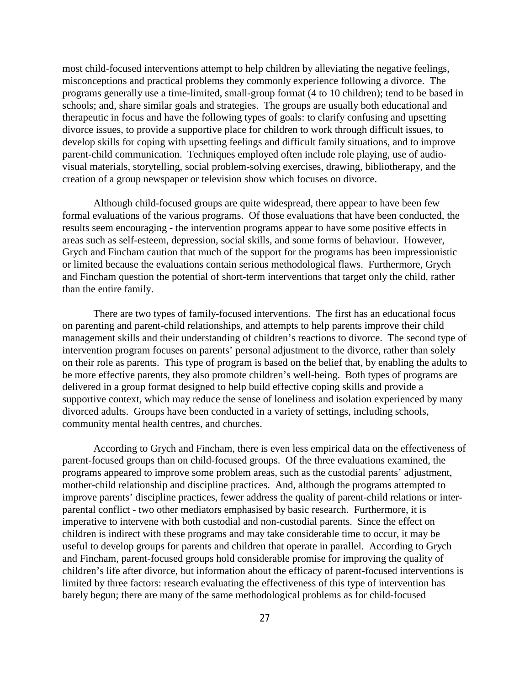most child-focused interventions attempt to help children by alleviating the negative feelings, misconceptions and practical problems they commonly experience following a divorce. The programs generally use a time-limited, small-group format (4 to 10 children); tend to be based in schools; and, share similar goals and strategies. The groups are usually both educational and therapeutic in focus and have the following types of goals: to clarify confusing and upsetting divorce issues, to provide a supportive place for children to work through difficult issues, to develop skills for coping with upsetting feelings and difficult family situations, and to improve parent-child communication. Techniques employed often include role playing, use of audiovisual materials, storytelling, social problem-solving exercises, drawing, bibliotherapy, and the creation of a group newspaper or television show which focuses on divorce.

Although child-focused groups are quite widespread, there appear to have been few formal evaluations of the various programs. Of those evaluations that have been conducted, the results seem encouraging - the intervention programs appear to have some positive effects in areas such as self-esteem, depression, social skills, and some forms of behaviour. However, Grych and Fincham caution that much of the support for the programs has been impressionistic or limited because the evaluations contain serious methodological flaws. Furthermore, Grych and Fincham question the potential of short-term interventions that target only the child, rather than the entire family.

There are two types of family-focused interventions. The first has an educational focus on parenting and parent-child relationships, and attempts to help parents improve their child management skills and their understanding of children's reactions to divorce. The second type of intervention program focuses on parents' personal adjustment to the divorce, rather than solely on their role as parents. This type of program is based on the belief that, by enabling the adults to be more effective parents, they also promote children's well-being. Both types of programs are delivered in a group format designed to help build effective coping skills and provide a supportive context, which may reduce the sense of loneliness and isolation experienced by many divorced adults. Groups have been conducted in a variety of settings, including schools, community mental health centres, and churches.

According to Grych and Fincham, there is even less empirical data on the effectiveness of parent-focused groups than on child-focused groups. Of the three evaluations examined, the programs appeared to improve some problem areas, such as the custodial parents' adjustment, mother-child relationship and discipline practices. And, although the programs attempted to improve parents' discipline practices, fewer address the quality of parent-child relations or interparental conflict - two other mediators emphasised by basic research. Furthermore, it is imperative to intervene with both custodial and non-custodial parents. Since the effect on children is indirect with these programs and may take considerable time to occur, it may be useful to develop groups for parents and children that operate in parallel. According to Grych and Fincham, parent-focused groups hold considerable promise for improving the quality of children's life after divorce, but information about the efficacy of parent-focused interventions is limited by three factors: research evaluating the effectiveness of this type of intervention has barely begun; there are many of the same methodological problems as for child-focused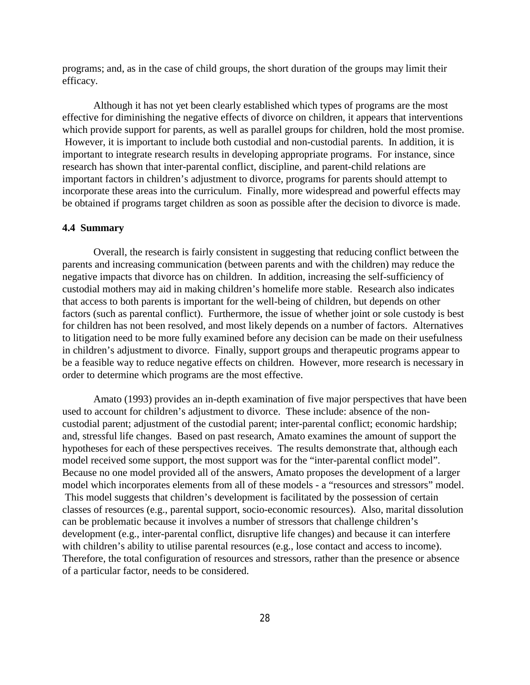<span id="page-30-0"></span>programs; and, as in the case of child groups, the short duration of the groups may limit their efficacy.

Although it has not yet been clearly established which types of programs are the most effective for diminishing the negative effects of divorce on children, it appears that interventions which provide support for parents, as well as parallel groups for children, hold the most promise. However, it is important to include both custodial and non-custodial parents. In addition, it is important to integrate research results in developing appropriate programs. For instance, since research has shown that inter-parental conflict, discipline, and parent-child relations are important factors in children's adjustment to divorce, programs for parents should attempt to incorporate these areas into the curriculum. Finally, more widespread and powerful effects may be obtained if programs target children as soon as possible after the decision to divorce is made.

### **4.4 Summary**

Overall, the research is fairly consistent in suggesting that reducing conflict between the parents and increasing communication (between parents and with the children) may reduce the negative impacts that divorce has on children. In addition, increasing the self-sufficiency of custodial mothers may aid in making children's homelife more stable. Research also indicates that access to both parents is important for the well-being of children, but depends on other factors (such as parental conflict). Furthermore, the issue of whether joint or sole custody is best for children has not been resolved, and most likely depends on a number of factors. Alternatives to litigation need to be more fully examined before any decision can be made on their usefulness in children's adjustment to divorce. Finally, support groups and therapeutic programs appear to be a feasible way to reduce negative effects on children. However, more research is necessary in order to determine which programs are the most effective.

Amato (1993) provides an in-depth examination of five major perspectives that have been used to account for children's adjustment to divorce. These include: absence of the noncustodial parent; adjustment of the custodial parent; inter-parental conflict; economic hardship; and, stressful life changes. Based on past research, Amato examines the amount of support the hypotheses for each of these perspectives receives. The results demonstrate that, although each model received some support, the most support was for the "inter-parental conflict model". Because no one model provided all of the answers, Amato proposes the development of a larger model which incorporates elements from all of these models - a "resources and stressors" model. This model suggests that children's development is facilitated by the possession of certain classes of resources (e.g., parental support, socio-economic resources). Also, marital dissolution can be problematic because it involves a number of stressors that challenge children's development (e.g., inter-parental conflict, disruptive life changes) and because it can interfere with children's ability to utilise parental resources (e.g., lose contact and access to income). Therefore, the total configuration of resources and stressors, rather than the presence or absence of a particular factor, needs to be considered.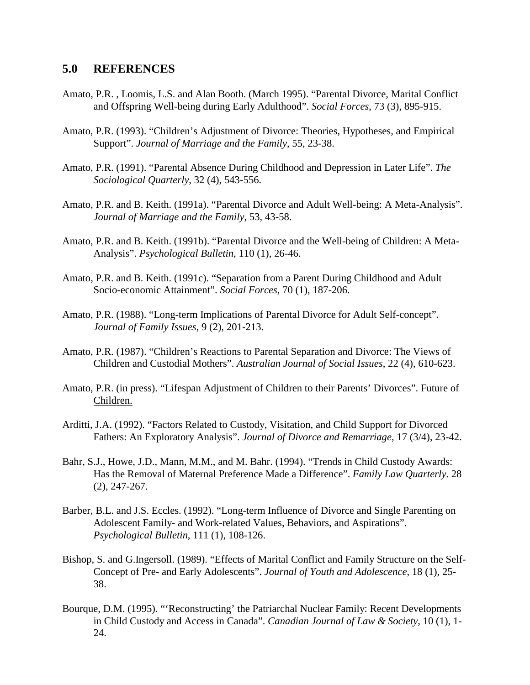# <span id="page-31-0"></span>**5.0 REFERENCES**

- Amato, P.R. , Loomis, L.S. and Alan Booth. (March 1995). "Parental Divorce, Marital Conflict and Offspring Well-being during Early Adulthood". *Social Forces*, 73 (3), 895-915.
- Amato, P.R. (1993). "Children's Adjustment of Divorce: Theories, Hypotheses, and Empirical Support". *Journal of Marriage and the Family*, 55, 23-38.
- Amato, P.R. (1991). "Parental Absence During Childhood and Depression in Later Life". *The Sociological Quarterly*, 32 (4), 543-556.
- Amato, P.R. and B. Keith. (1991a). "Parental Divorce and Adult Well-being: A Meta-Analysis". *Journal of Marriage and the Family*, 53, 43-58.
- Amato, P.R. and B. Keith. (1991b). "Parental Divorce and the Well-being of Children: A Meta-Analysis". *Psychological Bulletin*, 110 (1), 26-46.
- Amato, P.R. and B. Keith. (1991c). "Separation from a Parent During Childhood and Adult Socio-economic Attainment". *Social Forces*, 70 (1), 187-206.
- Amato, P.R. (1988). "Long-term Implications of Parental Divorce for Adult Self-concept". *Journal of Family Issues*, 9 (2), 201-213.
- Amato, P.R. (1987). "Children's Reactions to Parental Separation and Divorce: The Views of Children and Custodial Mothers". *Australian Journal of Social Issues*, 22 (4), 610-623.
- Amato, P.R. (in press). "Lifespan Adjustment of Children to their Parents' Divorces". Future of Children.
- Arditti, J.A. (1992). "Factors Related to Custody, Visitation, and Child Support for Divorced Fathers: An Exploratory Analysis". *Journal of Divorce and Remarriage*, 17 (3/4), 23-42.
- Bahr, S.J., Howe, J.D., Mann, M.M., and M. Bahr. (1994). "Trends in Child Custody Awards: Has the Removal of Maternal Preference Made a Difference". *Family Law Quarterly*. 28 (2), 247-267.
- Barber, B.L. and J.S. Eccles. (1992). "Long-term Influence of Divorce and Single Parenting on Adolescent Family- and Work-related Values, Behaviors, and Aspirations". *Psychological Bulletin*, 111 (1), 108-126.
- Bishop, S. and G.Ingersoll. (1989). "Effects of Marital Conflict and Family Structure on the Self-Concept of Pre- and Early Adolescents". *Journal of Youth and Adolescence*, 18 (1), 25- 38.
- Bourque, D.M. (1995). "'Reconstructing' the Patriarchal Nuclear Family: Recent Developments in Child Custody and Access in Canada". *Canadian Journal of Law & Society*, 10 (1), 1- 24.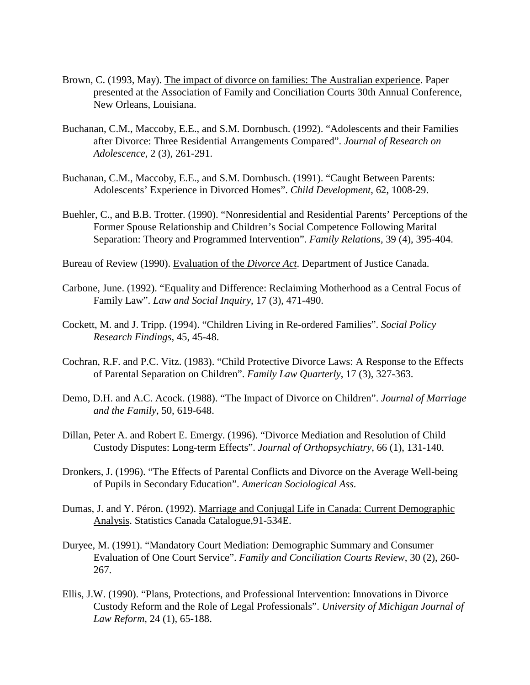- Brown, C. (1993, May). The impact of divorce on families: The Australian experience. Paper presented at the Association of Family and Conciliation Courts 30th Annual Conference, New Orleans, Louisiana.
- Buchanan, C.M., Maccoby, E.E., and S.M. Dornbusch. (1992). "Adolescents and their Families after Divorce: Three Residential Arrangements Compared". *Journal of Research on Adolescence*, 2 (3), 261-291.
- Buchanan, C.M., Maccoby, E.E., and S.M. Dornbusch. (1991). "Caught Between Parents: Adolescents' Experience in Divorced Homes". *Child Development*, 62, 1008-29.
- Buehler, C., and B.B. Trotter. (1990). "Nonresidential and Residential Parents' Perceptions of the Former Spouse Relationship and Children's Social Competence Following Marital Separation: Theory and Programmed Intervention". *Family Relations*, 39 (4), 395-404.
- Bureau of Review (1990). Evaluation of the *Divorce Act*. Department of Justice Canada.
- Carbone, June. (1992). "Equality and Difference: Reclaiming Motherhood as a Central Focus of Family Law". *Law and Social Inquiry*, 17 (3), 471-490.
- Cockett, M. and J. Tripp. (1994). "Children Living in Re-ordered Families". *Social Policy Research Findings*, 45, 45-48.
- Cochran, R.F. and P.C. Vitz. (1983). "Child Protective Divorce Laws: A Response to the Effects of Parental Separation on Children". *Family Law Quarterly*, 17 (3), 327-363.
- Demo, D.H. and A.C. Acock. (1988). "The Impact of Divorce on Children". *Journal of Marriage and the Family*, 50, 619-648.
- Dillan, Peter A. and Robert E. Emergy. (1996). "Divorce Mediation and Resolution of Child Custody Disputes: Long-term Effects". *Journal of Orthopsychiatry*, 66 (1), 131-140.
- Dronkers, J. (1996). "The Effects of Parental Conflicts and Divorce on the Average Well-being of Pupils in Secondary Education". *American Sociological Ass.*
- Dumas, J. and Y. Péron. (1992). Marriage and Conjugal Life in Canada: Current Demographic Analysis. Statistics Canada Catalogue,91-534E.
- Duryee, M. (1991). "Mandatory Court Mediation: Demographic Summary and Consumer Evaluation of One Court Service". *Family and Conciliation Courts Review*, 30 (2), 260- 267.
- Ellis, J.W. (1990). "Plans, Protections, and Professional Intervention: Innovations in Divorce Custody Reform and the Role of Legal Professionals". *University of Michigan Journal of Law Reform*, 24 (1), 65-188.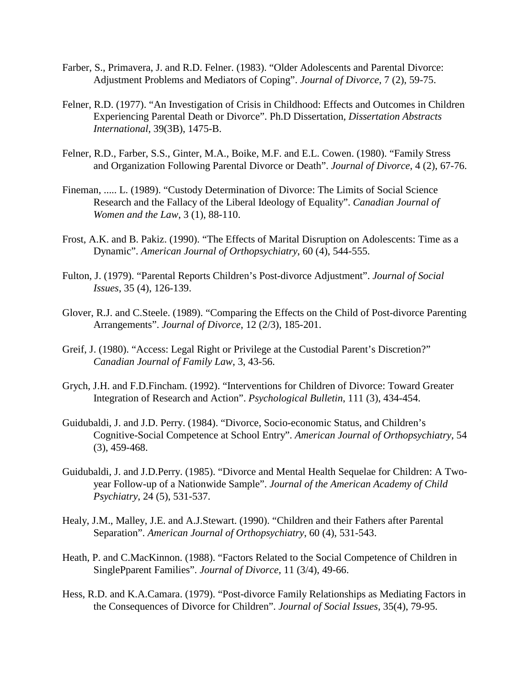- Farber, S., Primavera, J. and R.D. Felner. (1983). "Older Adolescents and Parental Divorce: Adjustment Problems and Mediators of Coping". *Journal of Divorce*, 7 (2), 59-75.
- Felner, R.D. (1977). "An Investigation of Crisis in Childhood: Effects and Outcomes in Children Experiencing Parental Death or Divorce". Ph.D Dissertation, *Dissertation Abstracts International*, 39(3B), 1475-B.
- Felner, R.D., Farber, S.S., Ginter, M.A., Boike, M.F. and E.L. Cowen. (1980). "Family Stress and Organization Following Parental Divorce or Death". *Journal of Divorce*, 4 (2), 67-76.
- Fineman, ..... L. (1989). "Custody Determination of Divorce: The Limits of Social Science Research and the Fallacy of the Liberal Ideology of Equality". *Canadian Journal of Women and the Law*, 3 (1), 88-110.
- Frost, A.K. and B. Pakiz. (1990). "The Effects of Marital Disruption on Adolescents: Time as a Dynamic". *American Journal of Orthopsychiatry*, 60 (4), 544-555.
- Fulton, J. (1979). "Parental Reports Children's Post-divorce Adjustment". *Journal of Social Issues*, 35 (4), 126-139.
- Glover, R.J. and C.Steele. (1989). "Comparing the Effects on the Child of Post-divorce Parenting Arrangements". *Journal of Divorce*, 12 (2/3), 185-201.
- Greif, J. (1980). "Access: Legal Right or Privilege at the Custodial Parent's Discretion?" *Canadian Journal of Family Law*, 3, 43-56.
- Grych, J.H. and F.D.Fincham. (1992). "Interventions for Children of Divorce: Toward Greater Integration of Research and Action". *Psychological Bulletin*, 111 (3), 434-454.
- Guidubaldi, J. and J.D. Perry. (1984). "Divorce, Socio-economic Status, and Children's Cognitive-Social Competence at School Entry". *American Journal of Orthopsychiatry*, 54 (3), 459-468.
- Guidubaldi, J. and J.D.Perry. (1985). "Divorce and Mental Health Sequelae for Children: A Twoyear Follow-up of a Nationwide Sample". *Journal of the American Academy of Child Psychiatry*, 24 (5), 531-537.
- Healy, J.M., Malley, J.E. and A.J.Stewart. (1990). "Children and their Fathers after Parental Separation". *American Journal of Orthopsychiatry*, 60 (4), 531-543.
- Heath, P. and C.MacKinnon. (1988). "Factors Related to the Social Competence of Children in SinglePparent Families". *Journal of Divorce*, 11 (3/4), 49-66.
- Hess, R.D. and K.A.Camara. (1979). "Post-divorce Family Relationships as Mediating Factors in the Consequences of Divorce for Children". *Journal of Social Issues*, 35(4), 79-95.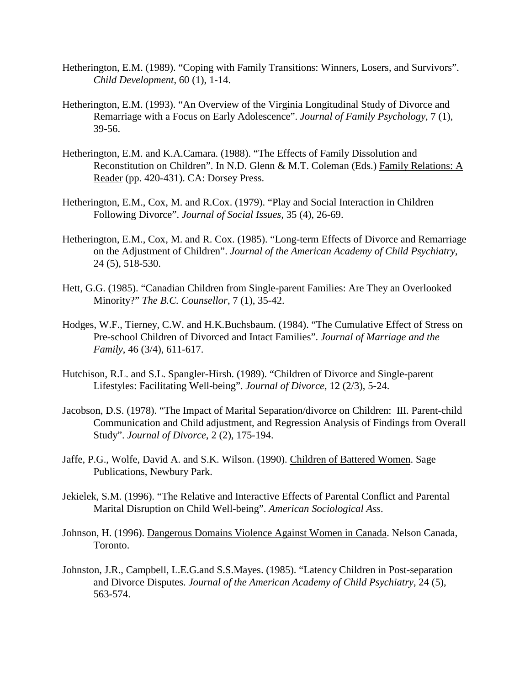- Hetherington, E.M. (1989). "Coping with Family Transitions: Winners, Losers, and Survivors". *Child Development*, 60 (1), 1-14.
- Hetherington, E.M. (1993). "An Overview of the Virginia Longitudinal Study of Divorce and Remarriage with a Focus on Early Adolescence". *Journal of Family Psychology*, 7 (1), 39-56.
- Hetherington, E.M. and K.A.Camara. (1988). "The Effects of Family Dissolution and Reconstitution on Children". In N.D. Glenn & M.T. Coleman (Eds.) Family Relations: A Reader (pp. 420-431). CA: Dorsey Press.
- Hetherington, E.M., Cox, M. and R.Cox. (1979). "Play and Social Interaction in Children Following Divorce". *Journal of Social Issues*, 35 (4), 26-69.
- Hetherington, E.M., Cox, M. and R. Cox. (1985). "Long-term Effects of Divorce and Remarriage on the Adjustment of Children". *Journal of the American Academy of Child Psychiatry*, 24 (5), 518-530.
- Hett, G.G. (1985). "Canadian Children from Single-parent Families: Are They an Overlooked Minority?" *The B.C. Counsellor*, 7 (1), 35-42.
- Hodges, W.F., Tierney, C.W. and H.K.Buchsbaum. (1984). "The Cumulative Effect of Stress on Pre-school Children of Divorced and Intact Families". *Journal of Marriage and the Family*, 46 (3/4), 611-617.
- Hutchison, R.L. and S.L. Spangler-Hirsh. (1989). "Children of Divorce and Single-parent Lifestyles: Facilitating Well-being". *Journal of Divorce*, 12 (2/3), 5-24.
- Jacobson, D.S. (1978). "The Impact of Marital Separation/divorce on Children: III. Parent-child Communication and Child adjustment, and Regression Analysis of Findings from Overall Study". *Journal of Divorce*, 2 (2), 175-194.
- Jaffe, P.G., Wolfe, David A. and S.K. Wilson. (1990). Children of Battered Women. Sage Publications, Newbury Park.
- Jekielek, S.M. (1996). "The Relative and Interactive Effects of Parental Conflict and Parental Marital Disruption on Child Well-being". *American Sociological Ass*.
- Johnson, H. (1996). Dangerous Domains Violence Against Women in Canada. Nelson Canada, Toronto.
- Johnston, J.R., Campbell, L.E.G.and S.S.Mayes. (1985). "Latency Children in Post-separation and Divorce Disputes. *Journal of the American Academy of Child Psychiatry*, 24 (5), 563-574.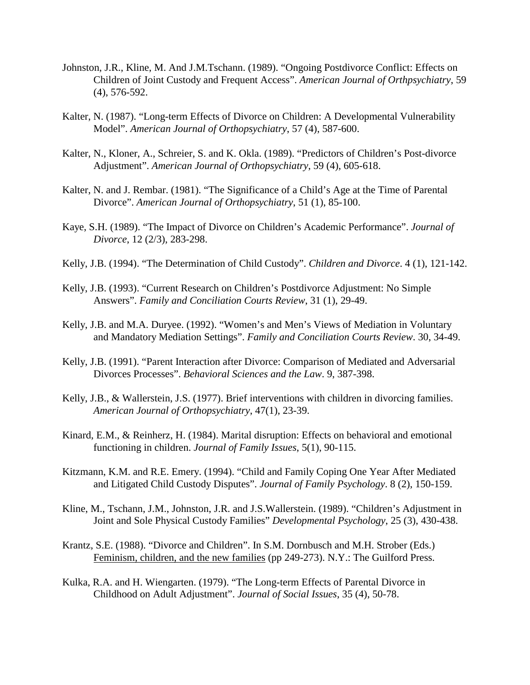- Johnston, J.R., Kline, M. And J.M.Tschann. (1989). "Ongoing Postdivorce Conflict: Effects on Children of Joint Custody and Frequent Access". *American Journal of Orthpsychiatry*, 59 (4), 576-592.
- Kalter, N. (1987). "Long-term Effects of Divorce on Children: A Developmental Vulnerability Model". *American Journal of Orthopsychiatry*, 57 (4), 587-600.
- Kalter, N., Kloner, A., Schreier, S. and K. Okla. (1989). "Predictors of Children's Post-divorce Adjustment". *American Journal of Orthopsychiatry*, 59 (4), 605-618.
- Kalter, N. and J. Rembar. (1981). "The Significance of a Child's Age at the Time of Parental Divorce". *American Journal of Orthopsychiatry*, 51 (1), 85-100.
- Kaye, S.H. (1989). "The Impact of Divorce on Children's Academic Performance". *Journal of Divorce*, 12 (2/3), 283-298.
- Kelly, J.B. (1994). "The Determination of Child Custody". *Children and Divorce*. 4 (1), 121-142.
- Kelly, J.B. (1993). "Current Research on Children's Postdivorce Adjustment: No Simple Answers". *Family and Conciliation Courts Review*, 31 (1), 29-49.
- Kelly, J.B. and M.A. Duryee. (1992). "Women's and Men's Views of Mediation in Voluntary and Mandatory Mediation Settings". *Family and Conciliation Courts Review*. 30, 34-49.
- Kelly, J.B. (1991). "Parent Interaction after Divorce: Comparison of Mediated and Adversarial Divorces Processes". *Behavioral Sciences and the Law*. 9, 387-398.
- Kelly, J.B., & Wallerstein, J.S. (1977). Brief interventions with children in divorcing families. *American Journal of Orthopsychiatry*, 47(1), 23-39.
- Kinard, E.M., & Reinherz, H. (1984). Marital disruption: Effects on behavioral and emotional functioning in children. *Journal of Family Issues*, 5(1), 90-115.
- Kitzmann, K.M. and R.E. Emery. (1994). "Child and Family Coping One Year After Mediated and Litigated Child Custody Disputes". *Journal of Family Psychology*. 8 (2), 150-159.
- Kline, M., Tschann, J.M., Johnston, J.R. and J.S.Wallerstein. (1989). "Children's Adjustment in Joint and Sole Physical Custody Families" *Developmental Psychology*, 25 (3), 430-438.
- Krantz, S.E. (1988). "Divorce and Children". In S.M. Dornbusch and M.H. Strober (Eds.) Feminism, children, and the new families (pp 249-273). N.Y.: The Guilford Press.
- Kulka, R.A. and H. Wiengarten. (1979). "The Long-term Effects of Parental Divorce in Childhood on Adult Adjustment". *Journal of Social Issues*, 35 (4), 50-78.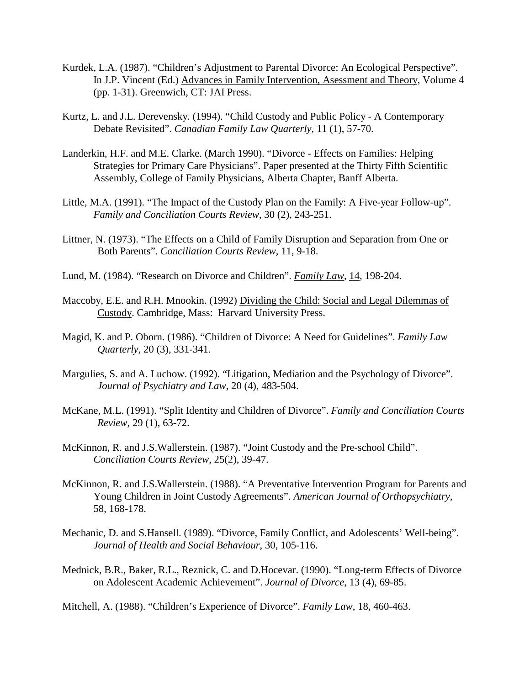- Kurdek, L.A. (1987). "Children's Adjustment to Parental Divorce: An Ecological Perspective". In J.P. Vincent (Ed.) Advances in Family Intervention, Asessment and Theory, Volume 4 (pp. 1-31). Greenwich, CT: JAI Press.
- Kurtz, L. and J.L. Derevensky. (1994). "Child Custody and Public Policy A Contemporary Debate Revisited". *Canadian Family Law Quarterly*, 11 (1), 57-70.
- Landerkin, H.F. and M.E. Clarke. (March 1990). "Divorce Effects on Families: Helping Strategies for Primary Care Physicians". Paper presented at the Thirty Fifth Scientific Assembly, College of Family Physicians, Alberta Chapter, Banff Alberta.
- Little, M.A. (1991). "The Impact of the Custody Plan on the Family: A Five-year Follow-up". *Family and Conciliation Courts Review*, 30 (2), 243-251.
- Littner, N. (1973). "The Effects on a Child of Family Disruption and Separation from One or Both Parents". *Conciliation Courts Review*, 11, 9-18.
- Lund, M. (1984). "Research on Divorce and Children". *Family Law*, 14, 198-204.
- Maccoby, E.E. and R.H. Mnookin. (1992) Dividing the Child: Social and Legal Dilemmas of Custody. Cambridge, Mass: Harvard University Press.
- Magid, K. and P. Oborn. (1986). "Children of Divorce: A Need for Guidelines". *Family Law Quarterly,* 20 (3), 331-341.
- Margulies, S. and A. Luchow. (1992). "Litigation, Mediation and the Psychology of Divorce". *Journal of Psychiatry and Law*, 20 (4), 483-504.
- McKane, M.L. (1991). "Split Identity and Children of Divorce". *Family and Conciliation Courts Review*, 29 (1), 63-72.
- McKinnon, R. and J.S.Wallerstein. (1987). "Joint Custody and the Pre-school Child". *Conciliation Courts Review*, 25(2), 39-47.
- McKinnon, R. and J.S.Wallerstein. (1988). "A Preventative Intervention Program for Parents and Young Children in Joint Custody Agreements". *American Journal of Orthopsychiatry*, 58, 168-178.
- Mechanic, D. and S.Hansell. (1989). "Divorce, Family Conflict, and Adolescents' Well-being". *Journal of Health and Social Behaviour*, 30, 105-116.
- Mednick, B.R., Baker, R.L., Reznick, C. and D.Hocevar. (1990). "Long-term Effects of Divorce on Adolescent Academic Achievement". *Journal of Divorce*, 13 (4), 69-85.

Mitchell, A. (1988). "Children's Experience of Divorce". *Family Law*, 18, 460-463.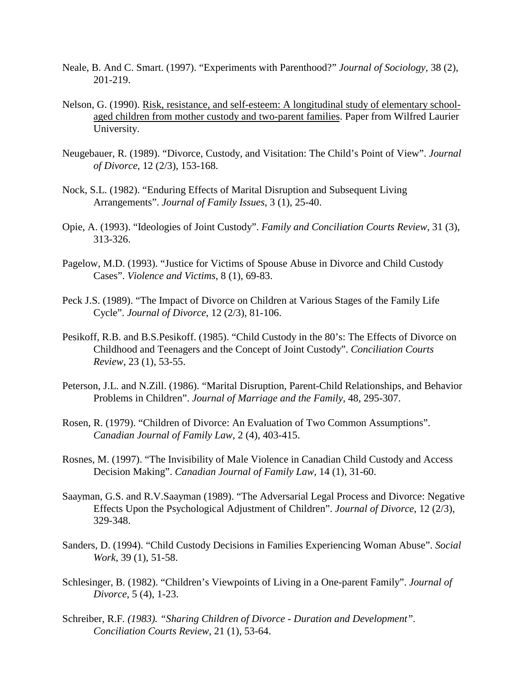- Neale, B. And C. Smart. (1997). "Experiments with Parenthood?" *Journal of Sociology*, 38 (2), 201-219.
- Nelson, G. (1990). Risk, resistance, and self-esteem: A longitudinal study of elementary schoolaged children from mother custody and two-parent families. Paper from Wilfred Laurier University.
- Neugebauer, R. (1989). "Divorce, Custody, and Visitation: The Child's Point of View". *Journal of Divorce*, 12 (2/3), 153-168.
- Nock, S.L. (1982). "Enduring Effects of Marital Disruption and Subsequent Living Arrangements". *Journal of Family Issues*, 3 (1), 25-40.
- Opie, A. (1993). "Ideologies of Joint Custody". *Family and Conciliation Courts Review*, 31 (3), 313-326.
- Pagelow, M.D. (1993). "Justice for Victims of Spouse Abuse in Divorce and Child Custody Cases". *Violence and Victims*, 8 (1), 69-83.
- Peck J.S. (1989). "The Impact of Divorce on Children at Various Stages of the Family Life Cycle". *Journal of Divorce*, 12 (2/3), 81-106.
- Pesikoff, R.B. and B.S.Pesikoff. (1985). "Child Custody in the 80's: The Effects of Divorce on Childhood and Teenagers and the Concept of Joint Custody". *Conciliation Courts Review*, 23 (1), 53-55.
- Peterson, J.L. and N.Zill. (1986). "Marital Disruption, Parent-Child Relationships, and Behavior Problems in Children". *Journal of Marriage and the Family*, 48, 295-307.
- Rosen, R. (1979). "Children of Divorce: An Evaluation of Two Common Assumptions". *Canadian Journal of Family Law*, 2 (4), 403-415.
- Rosnes, M. (1997). "The Invisibility of Male Violence in Canadian Child Custody and Access Decision Making". *Canadian Journal of Family Law*, 14 (1), 31-60.
- Saayman, G.S. and R.V.Saayman (1989). "The Adversarial Legal Process and Divorce: Negative Effects Upon the Psychological Adjustment of Children". *Journal of Divorce*, 12 (2/3), 329-348.
- Sanders, D. (1994). "Child Custody Decisions in Families Experiencing Woman Abuse". *Social Work*, 39 (1), 51-58.
- Schlesinger, B. (1982). "Children's Viewpoints of Living in a One-parent Family". *Journal of Divorce*, 5 (4), 1-23.
- Schreiber, R.F*. (1983). "Sharing Children of Divorce Duration and Development". Conciliation Courts Review*, 21 (1), 53-64.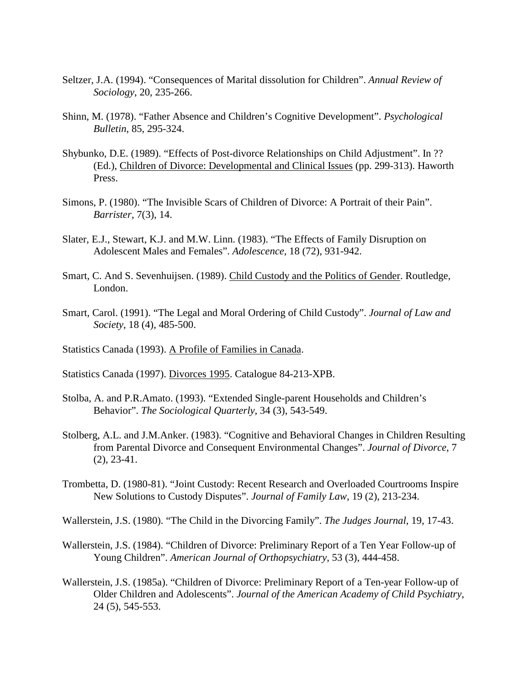- Seltzer, J.A. (1994). "Consequences of Marital dissolution for Children". *Annual Review of Sociology*, 20, 235-266.
- Shinn, M. (1978). "Father Absence and Children's Cognitive Development". *Psychological Bulletin*, 85, 295-324.
- Shybunko, D.E. (1989). "Effects of Post-divorce Relationships on Child Adjustment". In ?? (Ed.), Children of Divorce: Developmental and Clinical Issues (pp. 299-313). Haworth Press.
- Simons, P. (1980). "The Invisible Scars of Children of Divorce: A Portrait of their Pain". *Barrister*, 7(3), 14.
- Slater, E.J., Stewart, K.J. and M.W. Linn. (1983). "The Effects of Family Disruption on Adolescent Males and Females". *Adolescence*, 18 (72), 931-942.
- Smart, C. And S. Sevenhuijsen. (1989). Child Custody and the Politics of Gender. Routledge, London.
- Smart, Carol. (1991). "The Legal and Moral Ordering of Child Custody". *Journal of Law and Society*, 18 (4), 485-500.
- Statistics Canada (1993). A Profile of Families in Canada.

Statistics Canada (1997). Divorces 1995. Catalogue 84-213-XPB.

- Stolba, A. and P.R.Amato. (1993). "Extended Single-parent Households and Children's Behavior". *The Sociological Quarterly*, 34 (3), 543-549.
- Stolberg, A.L. and J.M.Anker. (1983). "Cognitive and Behavioral Changes in Children Resulting from Parental Divorce and Consequent Environmental Changes". *Journal of Divorce*, 7 (2), 23-41.
- Trombetta, D. (1980-81). "Joint Custody: Recent Research and Overloaded Courtrooms Inspire New Solutions to Custody Disputes". *Journal of Family Law*, 19 (2), 213-234.

Wallerstein, J.S. (1980). "The Child in the Divorcing Family". *The Judges Journal*, 19, 17-43.

- Wallerstein, J.S. (1984). "Children of Divorce: Preliminary Report of a Ten Year Follow-up of Young Children". *American Journal of Orthopsychiatry*, 53 (3), 444-458.
- Wallerstein, J.S. (1985a). "Children of Divorce: Preliminary Report of a Ten-year Follow-up of Older Children and Adolescents". *Journal of the American Academy of Child Psychiatry*, 24 (5), 545-553.